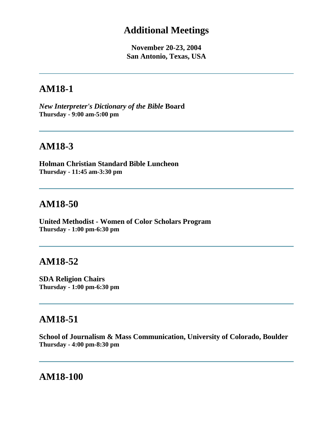## **Additional Meetings**

**November 20-23, 2004 San Antonio, Texas, USA**

# **AM18-1**

*New Interpreter's Dictionary of the Bible* **Board Thursday - 9:00 am-5:00 pm**

## **AM18-3**

**Holman Christian Standard Bible Luncheon Thursday - 11:45 am-3:30 pm**

## **AM18-50**

**United Methodist - Women of Color Scholars Program Thursday - 1:00 pm-6:30 pm**

## **AM18-52**

**SDA Religion Chairs Thursday - 1:00 pm-6:30 pm**

## **AM18-51**

**School of Journalism & Mass Communication, University of Colorado, Boulder Thursday - 4:00 pm-8:30 pm**

## **AM18-100**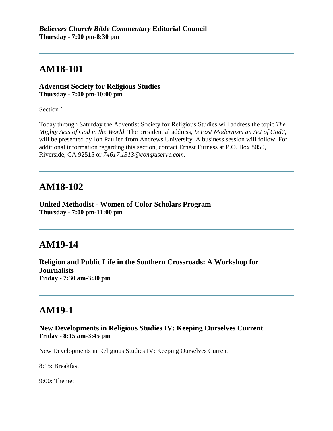# **AM18-101**

**Adventist Society for Religious Studies Thursday - 7:00 pm-10:00 pm**

Section 1

Today through Saturday the Adventist Society for Religious Studies will address the topic *The Mighty Acts of God in the World*. The presidential address, *Is Post Modernism an Act of God?*, will be presented by Jon Paulien from Andrews University. A business session will follow. For additional information regarding this section, contact Ernest Furness at P.O. Box 8050, Riverside, CA 92515 or *74617.1313@compuserve.com*.

## **AM18-102**

**United Methodist - Women of Color Scholars Program Thursday - 7:00 pm-11:00 pm**

# **AM19-14**

**Religion and Public Life in the Southern Crossroads: A Workshop for Journalists Friday - 7:30 am-3:30 pm**

## **AM19-1**

### **New Developments in Religious Studies IV: Keeping Ourselves Current Friday - 8:15 am-3:45 pm**

New Developments in Religious Studies IV: Keeping Ourselves Current

8:15: Breakfast

9:00: Theme: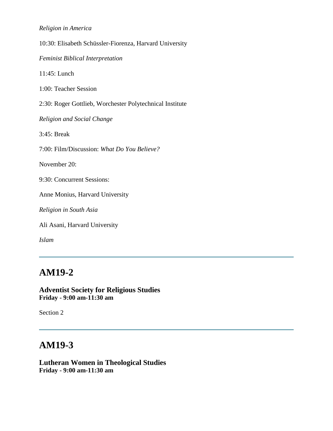### *Religion in America*

10:30: Elisabeth Schüssler-Fiorenza, Harvard University

*Feminist Biblical Interpretation*

11:45: Lunch

1:00: Teacher Session

2:30: Roger Gottlieb, Worchester Polytechnical Institute

*Religion and Social Change*

3:45: Break

7:00: Film/Discussion: *What Do You Believe?*

November 20:

9:30: Concurrent Sessions:

Anne Monius, Harvard University

*Religion in South Asia*

Ali Asani, Harvard University

*Islam*

# **AM19-2**

**Adventist Society for Religious Studies Friday - 9:00 am-11:30 am**

Section 2

## **AM19-3**

**Lutheran Women in Theological Studies Friday - 9:00 am-11:30 am**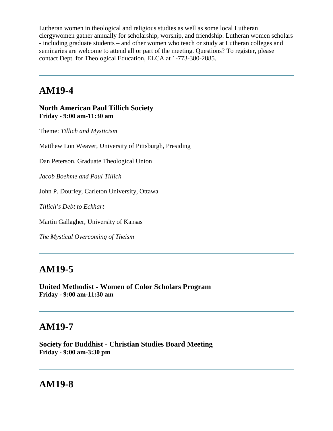Lutheran women in theological and religious studies as well as some local Lutheran clergywomen gather annually for scholarship, worship, and friendship. Lutheran women scholars - including graduate students – and other women who teach or study at Lutheran colleges and seminaries are welcome to attend all or part of the meeting. Questions? To register, please contact Dept. for Theological Education, ELCA at 1-773-380-2885.

# **AM19-4**

**North American Paul Tillich Society Friday - 9:00 am-11:30 am**

Theme: *Tillich and Mysticism*

Matthew Lon Weaver, University of Pittsburgh, Presiding

Dan Peterson, Graduate Theological Union

*Jacob Boehme and Paul Tillich*

John P. Dourley, Carleton University, Ottawa

*Tillich's Debt to Eckhart*

Martin Gallagher, University of Kansas

*The Mystical Overcoming of Theism*

## **AM19-5**

**United Methodist - Women of Color Scholars Program Friday - 9:00 am-11:30 am**

# **AM19-7**

**Society for Buddhist - Christian Studies Board Meeting Friday - 9:00 am-3:30 pm**

## **AM19-8**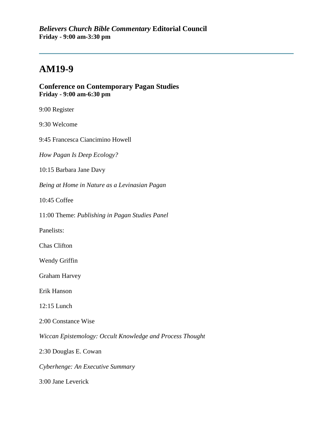# **AM19-9**

### **Conference on Contemporary Pagan Studies Friday - 9:00 am-6:30 pm**

9:00 Register

9:30 Welcome

9:45 Francesca Ciancimino Howell

*How Pagan Is Deep Ecology?*

10:15 Barbara Jane Davy

*Being at Home in Nature as a Levinasian Pagan*

10:45 Coffee

11:00 Theme: *Publishing in Pagan Studies Panel*

Panelists:

Chas Clifton

Wendy Griffin

Graham Harvey

Erik Hanson

12:15 Lunch

2:00 Constance Wise

*Wiccan Epistemology: Occult Knowledge and Process Thought*

2:30 Douglas E. Cowan

*Cyberhenge: An Executive Summary*

3:00 Jane Leverick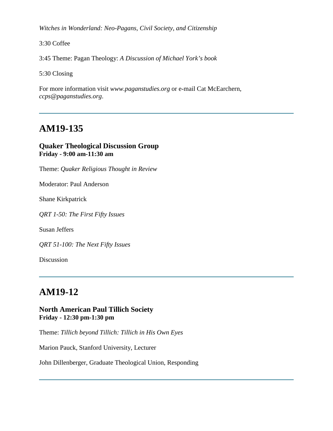*Witches in Wonderland: Neo-Pagans, Civil Society, and Citizenship*

3:30 Coffee

3:45 Theme: Pagan Theology: *A Discussion of Michael York's book*

5:30 Closing

For more information visit *www.paganstudies.org* or e-mail Cat McEarchern, *ccps@paganstudies.org*.

# **AM19-135**

### **Quaker Theological Discussion Group Friday - 9:00 am-11:30 am**

Theme: *Quaker Religious Thought in Review*

Moderator: Paul Anderson

Shane Kirkpatrick

*QRT 1-50: The First Fifty Issues*

Susan Jeffers

*QRT 51-100: The Next Fifty Issues*

Discussion

# **AM19-12**

### **North American Paul Tillich Society Friday - 12:30 pm-1:30 pm**

Theme: *Tillich beyond Tillich: Tillich in His Own Eyes* 

Marion Pauck, Stanford University, Lecturer

John Dillenberger, Graduate Theological Union, Responding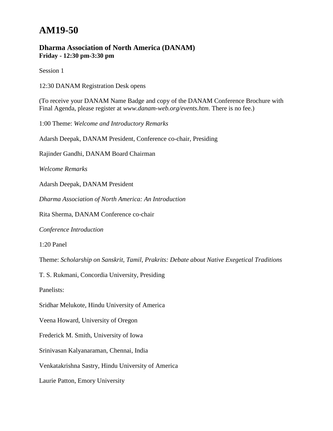# **AM19-50**

### **Dharma Association of North America (DANAM) Friday - 12:30 pm-3:30 pm**

Session 1

12:30 DANAM Registration Desk opens

(To receive your DANAM Name Badge and copy of the DANAM Conference Brochure with Final Agenda, please register at *www.danam-web.org/events.htm*. There is no fee.)

1:00 Theme: *Welcome and Introductory Remarks*

Adarsh Deepak, DANAM President, Conference co-chair, Presiding

Rajinder Gandhi, DANAM Board Chairman

*Welcome Remarks* 

Adarsh Deepak, DANAM President

*Dharma Association of North America: An Introduction*

Rita Sherma, DANAM Conference co-chair

*Conference Introduction*

1:20 Panel

Theme: *Scholarship on Sanskrit, Tamil, Prakrits: Debate about Native Exegetical Traditions*

T. S. Rukmani, Concordia University, Presiding

Panelists:

Sridhar Melukote, Hindu University of America

Veena Howard, University of Oregon

Frederick M. Smith, University of Iowa

Srinivasan Kalyanaraman, Chennai, India

Venkatakrishna Sastry, Hindu University of America

Laurie Patton, Emory University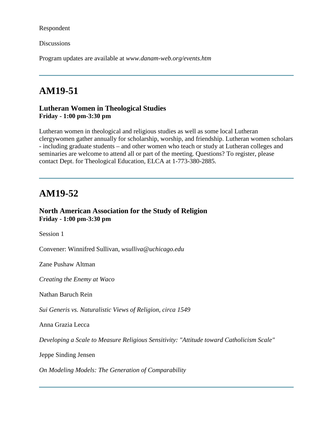Respondent

**Discussions** 

Program updates are available at *www.danam-web.org/events.htm*

# **AM19-51**

### **Lutheran Women in Theological Studies Friday - 1:00 pm-3:30 pm**

Lutheran women in theological and religious studies as well as some local Lutheran clergywomen gather annually for scholarship, worship, and friendship. Lutheran women scholars - including graduate students – and other women who teach or study at Lutheran colleges and seminaries are welcome to attend all or part of the meeting. Questions? To register, please contact Dept. for Theological Education, ELCA at 1-773-380-2885.

### **AM19-52**

### **North American Association for the Study of Religion Friday - 1:00 pm-3:30 pm**

Session 1

Convener: Winnifred Sullivan, *wsulliva@uchicago.edu*

Zane Pushaw Altman

*Creating the Enemy at Waco*

Nathan Baruch Rein

*Sui Generis vs. Naturalistic Views of Religion, circa 1549*

Anna Grazia Lecca

*Developing a Scale to Measure Religious Sensitivity: "Attitude toward Catholicism Scale"*

Jeppe Sinding Jensen

*On Modeling Models: The Generation of Comparability*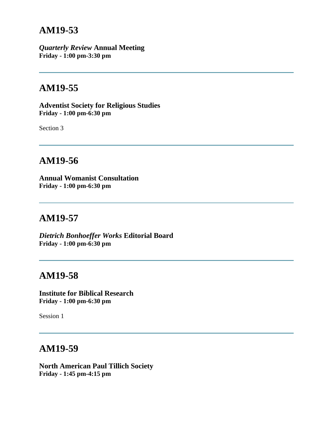## **AM19-53**

*Quarterly Review* **Annual Meeting Friday - 1:00 pm-3:30 pm**

# **AM19-55**

**Adventist Society for Religious Studies Friday - 1:00 pm-6:30 pm**

Section 3

# **AM19-56**

**Annual Womanist Consultation Friday - 1:00 pm-6:30 pm**

## **AM19-57**

*Dietrich Bonhoeffer Works* **Editorial Board Friday - 1:00 pm-6:30 pm**

## **AM19-58**

**Institute for Biblical Research Friday - 1:00 pm-6:30 pm**

Session 1

## **AM19-59**

**North American Paul Tillich Society Friday - 1:45 pm-4:15 pm**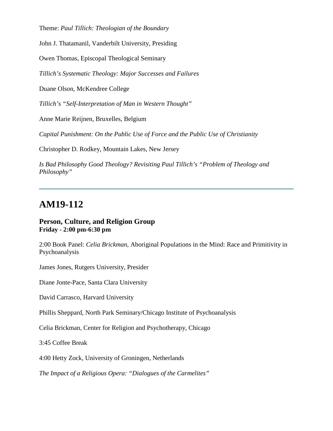Theme: *Paul Tillich: Theologian of the Boundary*

John J. Thatamanil, Vanderbilt University, Presiding

Owen Thomas, Episcopal Theological Seminary

*Tillich's Systematic Theology: Major Successes and Failures*

Duane Olson, McKendree College

*Tillich's "Self-Interpretation of Man in Western Thought"*

Anne Marie Reijnen, Bruxelles, Belgium

*Capital Punishment: On the Public Use of Force and the Public Use of Christianity*

Christopher D. Rodkey, Mountain Lakes, New Jersey

*Is Bad Philosophy Good Theology? Revisiting Paul Tillich's "Problem of Theology and Philosophy"*

# **AM19-112**

### **Person, Culture, and Religion Group Friday - 2:00 pm-6:30 pm**

2:00 Book Panel: *Celia Brickman*, Aboriginal Populations in the Mind: Race and Primitivity in Psychoanalysis

James Jones, Rutgers University, Presider

Diane Jonte-Pace, Santa Clara University

David Carrasco, Harvard University

Phillis Sheppard, North Park Seminary/Chicago Institute of Psychoanalysis

Celia Brickman, Center for Religion and Psychotherapy, Chicago

3:45 Coffee Break

4:00 Hetty Zock, University of Groningen, Netherlands

*The Impact of a Religious Opera: "Dialogues of the Carmelites"*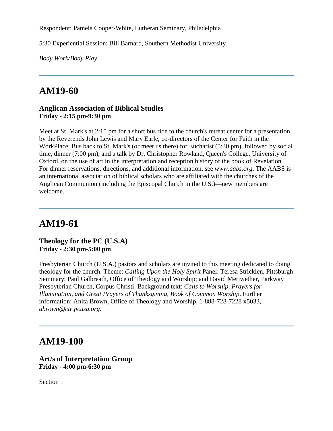Respondent: Pamela Cooper-White, Lutheran Seminary, Philadelphia

5:30 Experiential Session: Bill Barnard, Southern Methodist University

*Body Work/Body Play*

# **AM19-60**

### **Anglican Association of Biblical Studies Friday - 2:15 pm-9:30 pm**

Meet at St. Mark's at 2:15 pm for a short bus ride to the church's retreat center for a presentation by the Reverends John Lewis and Mary Earle, co-directors of the Center for Faith in the WorkPlace. Bus back to St. Mark's (or meet us there) for Eucharist (5:30 pm), followed by social time, dinner (7:00 pm), and a talk by Dr. Christopher Rowland, Queen's College, University of Oxford, on the use of art in the interpretation and reception history of the book of Revelation. For dinner reservations, directions, and additional information, see *www.aabs.org*. The AABS is an international association of biblical scholars who are affiliated with the churches of the Anglican Communion (including the Episcopal Church in the U.S.)—new members are welcome.

## **AM19-61**

### **Theology for the PC (U.S.A) Friday - 2:30 pm-5:00 pm**

Presbyterian Church (U.S.A.) pastors and scholars are invited to this meeting dedicated to doing theology for the church. Theme: *Calling Upon the Holy Spirit* Panel: Teresa Stricklen, Pittsburgh Seminary; Paul Galbreath, Office of Theology and Worship; and David Meriwether, Parkway Presbyterian Church, Corpus Christi. Background text: *Calls to Worship, Prayers for Illumination, and Great Prayers of Thanksgiving, Book of Common Worship*. Further information: Anita Brown, Office of Theology and Worship, 1-888-728-7228 x5033, *abrown@ctr.pcusa.org*.

## **AM19-100**

### **Art/s of Interpretation Group Friday - 4:00 pm-6:30 pm**

Section 1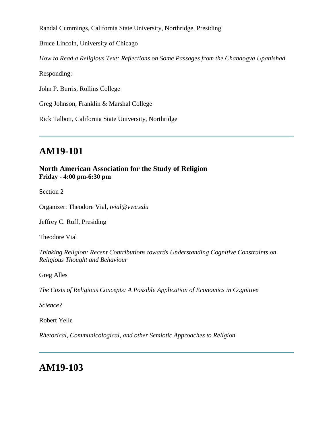Randal Cummings, California State University, Northridge, Presiding

Bruce Lincoln, University of Chicago

*How to Read a Religious Text: Reflections on Some Passages from the Chandogya Upanishad*

Responding:

John P. Burris, Rollins College

Greg Johnson, Franklin & Marshal College

Rick Talbott, California State University, Northridge

# **AM19-101**

**North American Association for the Study of Religion Friday - 4:00 pm-6:30 pm**

Section 2

Organizer: Theodore Vial, *tvial@vwc.edu*

Jeffrey C. Ruff, Presiding

Theodore Vial

*Thinking Religion: Recent Contributions towards Understanding Cognitive Constraints on Religious Thought and Behaviour*

Greg Alles

*The Costs of Religious Concepts: A Possible Application of Economics in Cognitive*

*Science?*

Robert Yelle

*Rhetorical, Communicological, and other Semiotic Approaches to Religion*

# **AM19-103**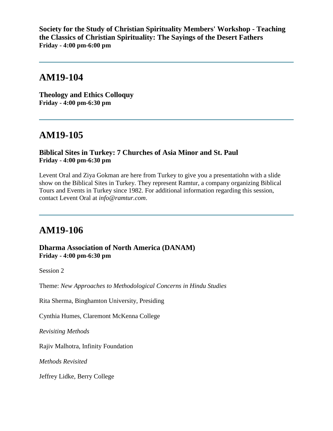**Society for the Study of Christian Spirituality Members' Workshop - Teaching the Classics of Christian Spirituality: The Sayings of the Desert Fathers Friday - 4:00 pm-6:00 pm**

## **AM19-104**

**Theology and Ethics Colloquy Friday - 4:00 pm-6:30 pm**

## **AM19-105**

### **Biblical Sites in Turkey: 7 Churches of Asia Minor and St. Paul Friday - 4:00 pm-6:30 pm**

Levent Oral and Ziya Gokman are here from Turkey to give you a presentatiohn with a slide show on the Biblical Sites in Turkey. They represent Ramtur, a company organizing Biblical Tours and Events in Turkey since 1982. For additional information regarding this session, contact Levent Oral at *info@ramtur.com*.

# **AM19-106**

**Dharma Association of North America (DANAM) Friday - 4:00 pm-6:30 pm**

Session 2

Theme: *New Approaches to Methodological Concerns in Hindu Studies*

Rita Sherma, Binghamton University, Presiding

Cynthia Humes, Claremont McKenna College

*Revisiting Methods*

Rajiv Malhotra, Infinity Foundation

*Methods Revisited*

Jeffrey Lidke, Berry College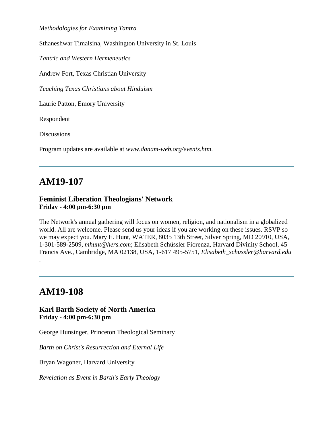*Methodologies for Examining Tantra*

Sthaneshwar Timalsina, Washington University in St. Louis

*Tantric and Western Hermeneutics*

Andrew Fort, Texas Christian University

*Teaching Texas Christians about Hinduism*

Laurie Patton, Emory University

Respondent

**Discussions** 

Program updates are available at *www.danam-web.org/events.htm*.

# **AM19-107**

### **Feminist Liberation Theologians' Network Friday - 4:00 pm-6:30 pm**

The Network's annual gathering will focus on women, religion, and nationalism in a globalized world. All are welcome. Please send us your ideas if you are working on these issues. RSVP so we may expect you. Mary E. Hunt, WATER, 8035 13th Street, Silver Spring, MD 20910, USA, 1-301-589-2509, *mhunt@hers.com*; Elisabeth Schüssler Fiorenza, Harvard Divinity School, 45 Francis Ave., Cambridge, MA 02138, USA, 1-617 495-5751, *Elisabeth\_schussler@harvard.edu*

# **AM19-108**

.

### **Karl Barth Society of North America Friday - 4:00 pm-6:30 pm**

George Hunsinger, Princeton Theological Seminary

*Barth on Christ's Resurrection and Eternal Life*

Bryan Wagoner, Harvard University

*Revelation as Event in Barth's Early Theology*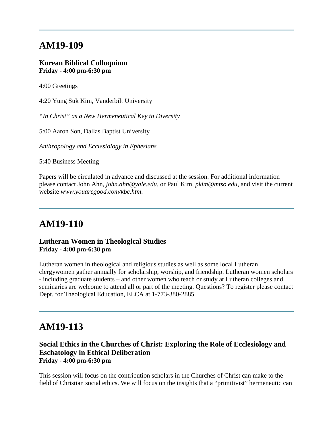## **AM19-109**

### **Korean Biblical Colloquium Friday - 4:00 pm-6:30 pm**

4:00 Greetings

4:20 Yung Suk Kim, Vanderbilt University

*"In Christ" as a New Hermeneutical Key to Diversity* 

5:00 Aaron Son, Dallas Baptist University

*Anthropology and Ecclesiology in Ephesians*

5:40 Business Meeting

Papers will be circulated in advance and discussed at the session. For additional information please contact John Ahn, *john.ahn@yale.edu*, or Paul Kim, *pkim@mtso.edu*, and visit the current website *www.youaregood.com/kbc.htm*.

## **AM19-110**

### **Lutheran Women in Theological Studies Friday - 4:00 pm-6:30 pm**

Lutheran women in theological and religious studies as well as some local Lutheran clergywomen gather annually for scholarship, worship, and friendship. Lutheran women scholars - including graduate students – and other women who teach or study at Lutheran colleges and seminaries are welcome to attend all or part of the meeting. Questions? To register please contact Dept. for Theological Education, ELCA at 1-773-380-2885.

## **AM19-113**

### **Social Ethics in the Churches of Christ: Exploring the Role of Ecclesiology and Eschatology in Ethical Deliberation Friday - 4:00 pm-6:30 pm**

This session will focus on the contribution scholars in the Churches of Christ can make to the field of Christian social ethics. We will focus on the insights that a "primitivist" hermeneutic can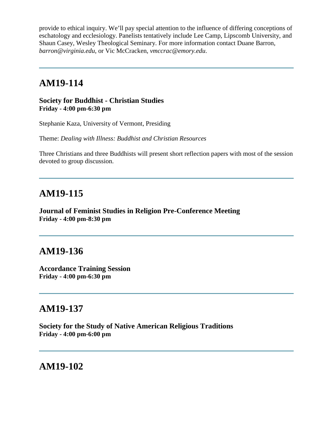provide to ethical inquiry. We'll pay special attention to the influence of differing conceptions of eschatology and ecclesiology. Panelists tentatively include Lee Camp, Lipscomb University, and Shaun Casey, Wesley Theological Seminary. For more information contact Duane Barron, *barron@virginia.edu*, or Vic McCracken, *vmccrac@emory.edu*.

# **AM19-114**

### **Society for Buddhist - Christian Studies Friday - 4:00 pm-6:30 pm**

Stephanie Kaza, University of Vermont, Presiding

Theme: *Dealing with Illness: Buddhist and Christian Resources*

Three Christians and three Buddhists will present short reflection papers with most of the session devoted to group discussion.

## **AM19-115**

**Journal of Feminist Studies in Religion Pre-Conference Meeting Friday - 4:00 pm-8:30 pm**

## **AM19-136**

**Accordance Training Session Friday - 4:00 pm-6:30 pm**

## **AM19-137**

**Society for the Study of Native American Religious Traditions Friday - 4:00 pm-6:00 pm**

## **AM19-102**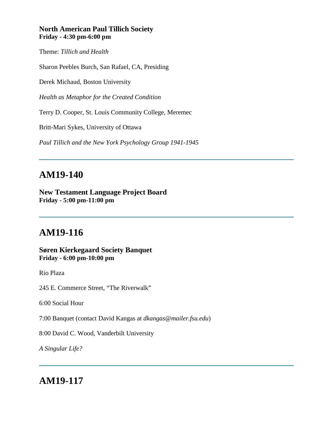### **North American Paul Tillich Society Friday - 4:30 pm-6:00 pm**

Theme: *Tillich and Health*

Sharon Peebles Burch, San Rafael, CA, Presiding

Derek Michaud, Boston University

*Health as Metaphor for the Created Condition*

Terry D. Cooper, St. Louis Community College, Meremec

Britt-Mari Sykes, University of Ottawa

*Paul Tillich and the New York Psychology Group 1941-1945*

# **AM19-140**

**New Testament Language Project Board Friday - 5:00 pm-11:00 pm**

# **AM19-116**

**Søren Kierkegaard Society Banquet Friday - 6:00 pm-10:00 pm**

Rio Plaza

245 E. Commerce Street, "The Riverwalk"

6:00 Social Hour

7:00 Banquet (contact David Kangas at *dkangas@mailer.fsu.edu*)

8:00 David C. Wood, Vanderbilt University

*A Singular Life?*

## **AM19-117**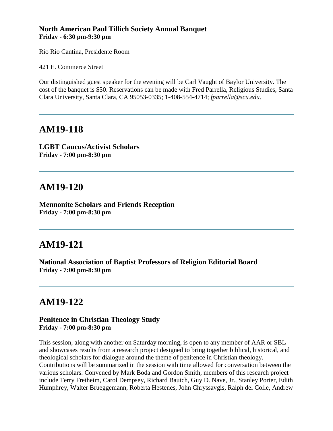### **North American Paul Tillich Society Annual Banquet Friday - 6:30 pm-9:30 pm**

Rio Rio Cantina, Presidente Room

421 E. Commerce Street

Our distinguished guest speaker for the evening will be Carl Vaught of Baylor University. The cost of the banquet is \$50. Reservations can be made with Fred Parrella, Religious Studies, Santa Clara University, Santa Clara, CA 95053-0335; 1-408-554-4714; *fparrella@scu.edu*.

## **AM19-118**

**LGBT Caucus/Activist Scholars Friday - 7:00 pm-8:30 pm**

# **AM19-120**

**Mennonite Scholars and Friends Reception Friday - 7:00 pm-8:30 pm**

# **AM19-121**

**National Association of Baptist Professors of Religion Editorial Board Friday - 7:00 pm-8:30 pm**

# **AM19-122**

### **Penitence in Christian Theology Study Friday - 7:00 pm-8:30 pm**

This session, along with another on Saturday morning, is open to any member of AAR or SBL and showcases results from a research project designed to bring together biblical, historical, and theological scholars for dialogue around the theme of penitence in Christian theology. Contributions will be summarized in the session with time allowed for conversation between the various scholars. Convened by Mark Boda and Gordon Smith, members of this research project include Terry Fretheim, Carol Dempsey, Richard Bautch, Guy D. Nave, Jr., Stanley Porter, Edith Humphrey, Walter Brueggemann, Roberta Hestenes, John Chryssavgis, Ralph del Colle, Andrew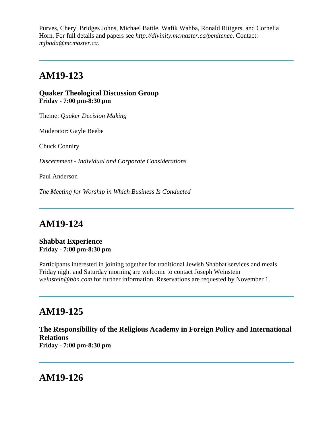Purves, Cheryl Bridges Johns, Michael Battle, Wafik Wahba, Ronald Rittgers, and Cornelia Horn. For full details and papers see *http://divinity.mcmaster.ca/penitence*. Contact: *mjboda@mcmaster.ca*.

## **AM19-123**

**Quaker Theological Discussion Group Friday - 7:00 pm-8:30 pm**

Theme: *Quaker Decision Making*

Moderator: Gayle Beebe

Chuck Conniry

*Discernment - Individual and Corporate Considerations*

Paul Anderson

*The Meeting for Worship in Which Business Is Conducted*

### **AM19-124**

#### **Shabbat Experience Friday - 7:00 pm-8:30 pm**

Participants interested in joining together for traditional Jewish Shabbat services and meals Friday night and Saturday morning are welcome to contact Joseph Weinstein *weinstein@bbn.com* for further information. Reservations are requested by November 1.

## **AM19-125**

**The Responsibility of the Religious Academy in Foreign Policy and International Relations Friday - 7:00 pm-8:30 pm**

### **AM19-126**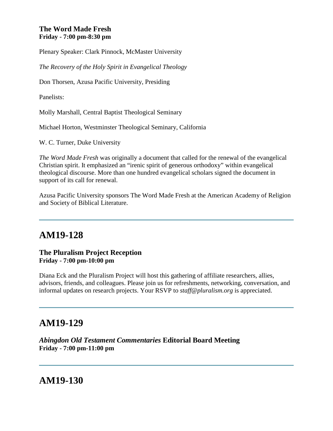### **The Word Made Fresh Friday - 7:00 pm-8:30 pm**

Plenary Speaker: Clark Pinnock, McMaster University

*The Recovery of the Holy Spirit in Evangelical Theology*

Don Thorsen, Azusa Pacific University, Presiding

Panelists:

Molly Marshall, Central Baptist Theological Seminary

Michael Horton, Westminster Theological Seminary, California

W. C. Turner, Duke University

*The Word Made Fresh* was originally a document that called for the renewal of the evangelical Christian spirit. It emphasized an "irenic spirit of generous orthodoxy" within evangelical theological discourse. More than one hundred evangelical scholars signed the document in support of its call for renewal.

Azusa Pacific University sponsors The Word Made Fresh at the American Academy of Religion and Society of Biblical Literature.

# **AM19-128**

### **The Pluralism Project Reception Friday - 7:00 pm-10:00 pm**

Diana Eck and the Pluralism Project will host this gathering of affiliate researchers, allies, advisors, friends, and colleagues. Please join us for refreshments, networking, conversation, and informal updates on research projects. Your RSVP to *staff@pluralism.org* is appreciated.

# **AM19-129**

*Abingdon Old Testament Commentaries* **Editorial Board Meeting Friday - 7:00 pm-11:00 pm**

# **AM19-130**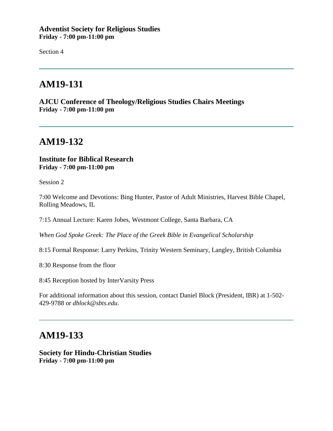### **Adventist Society for Religious Studies Friday - 7:00 pm-11:00 pm**

Section 4

# **AM19-131**

**AJCU Conference of Theology/Religious Studies Chairs Meetings Friday - 7:00 pm-11:00 pm**

## **AM19-132**

### **Institute for Biblical Research Friday - 7:00 pm-11:00 pm**

Session 2

7:00 Welcome and Devotions: Bing Hunter, Pastor of Adult Ministries, Harvest Bible Chapel, Rolling Meadows, IL

7:15 Annual Lecture: Karen Jobes, Westmont College, Santa Barbara, CA

*When God Spoke Greek: The Place of the Greek Bible in Evangelical Scholarship*

8:15 Formal Response: Larry Perkins, Trinity Western Seminary, Langley, British Columbia

8:30 Response from the floor

8:45 Reception hosted by InterVarsity Press

For additional information about this session, contact Daniel Block (President, IBR) at 1-502- 429-9788 or *dblock@sbts.edu*.

## **AM19-133**

**Society for Hindu-Christian Studies Friday - 7:00 pm-11:00 pm**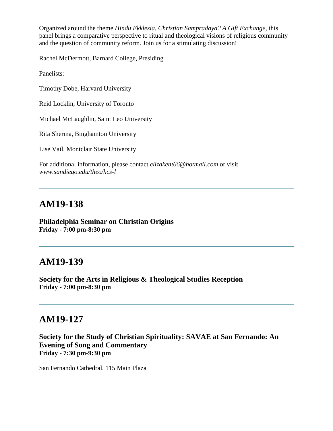Organized around the theme *Hindu Ekklesia, Christian Sampradaya? A Gift Exchange*, this panel brings a comparative perspective to ritual and theological visions of religious community and the question of community reform. Join us for a stimulating discussion!

Rachel McDermott, Barnard College, Presiding

Panelists:

Timothy Dobe, Harvard University

Reid Locklin, University of Toronto

Michael McLaughlin, Saint Leo University

Rita Sherma, Binghamton University

Lise Vail, Montclair State University

For additional information, please contact *elizakent66@hotmail.com* or visit *www.sandiego.edu/theo/hcs-l*

## **AM19-138**

**Philadelphia Seminar on Christian Origins Friday - 7:00 pm-8:30 pm**

### **AM19-139**

**Society for the Arts in Religious & Theological Studies Reception Friday - 7:00 pm-8:30 pm**

## **AM19-127**

**Society for the Study of Christian Spirituality: SAVAE at San Fernando: An Evening of Song and Commentary Friday - 7:30 pm-9:30 pm**

San Fernando Cathedral, 115 Main Plaza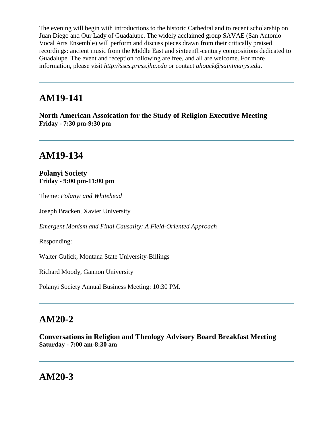The evening will begin with introductions to the historic Cathedral and to recent scholarship on Juan Diego and Our Lady of Guadalupe. The widely acclaimed group SAVAE (San Antonio Vocal Arts Ensemble) will perform and discuss pieces drawn from their critically praised recordings: ancient music from the Middle East and sixteenth-century compositions dedicated to Guadalupe. The event and reception following are free, and all are welcome. For more information, please visit *http://sscs.press.jhu.edu* or contact *ahouck@saintmarys.edu*.

## **AM19-141**

**North American Assoication for the Study of Religion Executive Meeting Friday - 7:30 pm-9:30 pm**

# **AM19-134**

**Polanyi Society Friday - 9:00 pm-11:00 pm**

Theme: *Polanyi and Whitehead*

Joseph Bracken, Xavier University

*Emergent Monism and Final Causality: A Field-Oriented Approach*

Responding:

Walter Gulick, Montana State University-Billings

Richard Moody, Gannon University

Polanyi Society Annual Business Meeting: 10:30 PM.

## **AM20-2**

**Conversations in Religion and Theology Advisory Board Breakfast Meeting Saturday - 7:00 am-8:30 am**

## **AM20-3**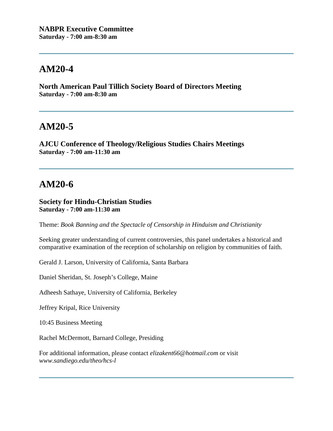# **AM20-4**

**North American Paul Tillich Society Board of Directors Meeting Saturday - 7:00 am-8:30 am**

## **AM20-5**

**AJCU Conference of Theology/Religious Studies Chairs Meetings Saturday - 7:00 am-11:30 am**

# **AM20-6**

### **Society for Hindu-Christian Studies Saturday - 7:00 am-11:30 am**

Theme: *Book Banning and the Spectacle of Censorship in Hinduism and Christianity*

Seeking greater understanding of current controversies, this panel undertakes a historical and comparative examination of the reception of scholarship on religion by communities of faith.

Gerald J. Larson, University of California, Santa Barbara

Daniel Sheridan, St. Joseph's College, Maine

Adheesh Sathaye, University of California, Berkeley

Jeffrey Kripal, Rice University

10:45 Business Meeting

Rachel McDermott, Barnard College, Presiding

For additional information, please contact *elizakent66@hotmail.com* or visit *www.sandiego.edu/theo/hcs-l*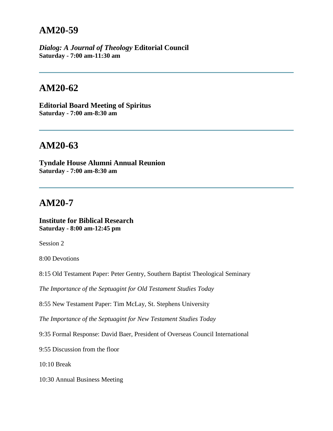## **AM20-59**

*Dialog: A Journal of Theology* **Editorial Council Saturday - 7:00 am-11:30 am**

## **AM20-62**

**Editorial Board Meeting of Spiritus Saturday - 7:00 am-8:30 am**

# **AM20-63**

**Tyndale House Alumni Annual Reunion Saturday - 7:00 am-8:30 am**

## **AM20-7**

### **Institute for Biblical Research Saturday - 8:00 am-12:45 pm**

Session 2

8:00 Devotions

8:15 Old Testament Paper: Peter Gentry, Southern Baptist Theological Seminary

*The Importance of the Septuagint for Old Testament Studies Today*

8:55 New Testament Paper: Tim McLay, St. Stephens University

*The Importance of the Septuagint for New Testament Studies Today*

9:35 Formal Response: David Baer, President of Overseas Council International

9:55 Discussion from the floor

10:10 Break

10:30 Annual Business Meeting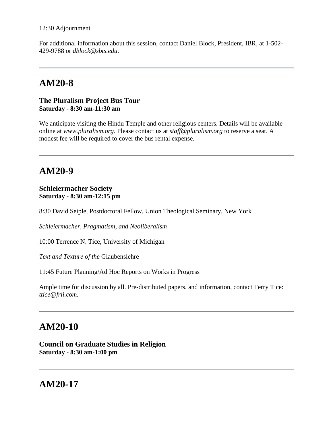For additional information about this session, contact Daniel Block, President, IBR, at 1-502- 429-9788 or *dblock@sbts.edu*.

# **AM20-8**

### **The Pluralism Project Bus Tour Saturday - 8:30 am-11:30 am**

We anticipate visiting the Hindu Temple and other religious centers. Details will be available online at *www.pluralism.org*. Please contact us at *staff@pluralism.org* to reserve a seat. A modest fee will be required to cover the bus rental expense.

# **AM20-9**

#### **Schleiermacher Society Saturday - 8:30 am-12:15 pm**

8:30 David Seiple, Postdoctoral Fellow, Union Theological Seminary, New York

*Schleiermacher, Pragmatism, and Neoliberalism*

10:00 Terrence N. Tice, University of Michigan

*Text and Texture of the* Glaubenslehre

11:45 Future Planning/Ad Hoc Reports on Works in Progress

Ample time for discussion by all. Pre-distributed papers, and information, contact Terry Tice: *ttice@frii.com*.

# **AM20-10**

**Council on Graduate Studies in Religion Saturday - 8:30 am-1:00 pm**

# **AM20-17**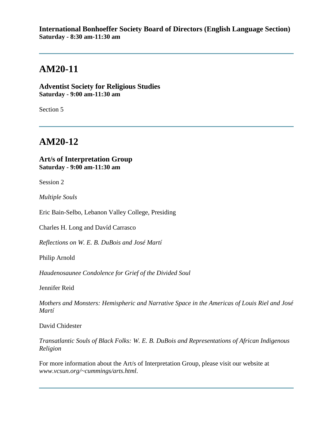### **International Bonhoeffer Society Board of Directors (English Language Section) Saturday - 8:30 am-11:30 am**

# **AM20-11**

**Adventist Society for Religious Studies Saturday - 9:00 am-11:30 am**

Section 5

# **AM20-12**

### **Art/s of Interpretation Group Saturday - 9:00 am-11:30 am**

Session 2

*Multiple Souls*

Eric Bain-Selbo, Lebanon Valley College, Presiding

Charles H. Long and Davíd Carrasco

*Reflections on W. E. B. DuBois and José Martí*

Philip Arnold

*Haudenosaunee Condolence for Grief of the Divided Soul*

Jennifer Reid

*Mothers and Monsters: Hemispheric and Narrative Space in the Americas of Louis Riel and José Martí*

David Chidester

*Transatlantic Souls of Black Folks: W. E. B. DuBois and Representations of African Indigenous Religion*

For more information about the Art/s of Interpretation Group, please visit our website at *www.vcsun.org/~cummings/arts.html*.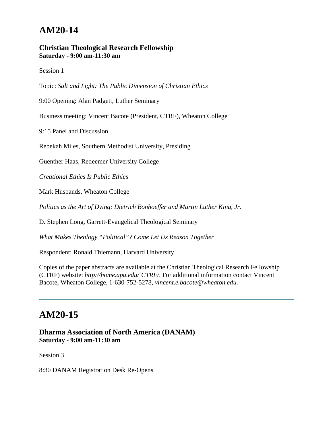# **AM20-14**

### **Christian Theological Research Fellowship Saturday - 9:00 am-11:30 am**

Session 1

Topic: *Salt and Light: The Public Dimension of Christian Ethics*

9:00 Opening: Alan Padgett, Luther Seminary

Business meeting: Vincent Bacote (President, CTRF), Wheaton College

9:15 Panel and Discussion

Rebekah Miles, Southern Methodist University, Presiding

Guenther Haas, Redeemer University College

*Creational Ethics Is Public Ethics*

Mark Husbands, Wheaton College

*Politics as the Art of Dying: Dietrich Bonhoeffer and Martin Luther King, Jr.*

D. Stephen Long, Garrett-Evangelical Theological Seminary

*What Makes Theology "Political"? Come Let Us Reason Together*

Respondent: Ronald Thiemann, Harvard University

Copies of the paper abstracts are available at the Christian Theological Research Fellowship (CTRF) website: *http://home.apu.edu/˜CTRF/*. For additional information contact Vincent Bacote, Wheaton College, 1-630-752-5278, *vincent.e.bacote@wheaton.edu*.

### **AM20-15**

**Dharma Association of North America (DANAM) Saturday - 9:00 am-11:30 am**

Session 3

8:30 DANAM Registration Desk Re-Opens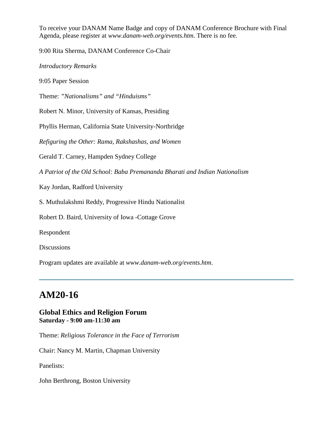To receive your DANAM Name Badge and copy of DANAM Conference Brochure with Final Agenda, please register at *www.danam-web.org/events.htm*. There is no fee.

9:00 Rita Sherma, DANAM Conference Co-Chair

*Introductory Remarks*

9:05 Paper Session

Theme: *"Nationalisms" and "Hinduisms"*

Robert N. Minor, University of Kansas, Presiding

Phyllis Herman, California State University-Northridge

*Refiguring the Other: Rama, Rakshashas, and Women*

Gerald T. Carney, Hampden Sydney College

*A Patriot of the Old School: Baba Premananda Bharati and Indian Nationalism*

Kay Jordan, Radford University

S. Muthulakshmi Reddy, Progressive Hindu Nationalist

Robert D. Baird, University of Iowa -Cottage Grove

Respondent

Discussions

Program updates are available at *www.danam-web.org/events.htm*.

# **AM20-16**

### **Global Ethics and Religion Forum Saturday - 9:00 am-11:30 am**

Theme: *Religious Tolerance in the Face of Terrorism*

Chair: Nancy M. Martin, Chapman University

Panelists:

John Berthrong, Boston University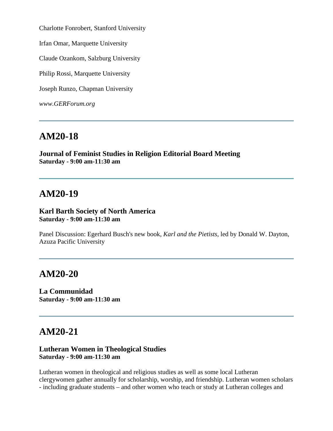Charlotte Fonrobert, Stanford University

Irfan Omar, Marquette University

Claude Ozankom, Salzburg University

Philip Rossi, Marquette University

Joseph Runzo, Chapman University

*www.GERForum.org*

## **AM20-18**

**Journal of Feminist Studies in Religion Editorial Board Meeting Saturday - 9:00 am-11:30 am**

### **AM20-19**

#### **Karl Barth Society of North America Saturday - 9:00 am-11:30 am**

Panel Discussion: Egerhard Busch's new book, *Karl and the Pietists*, led by Donald W. Dayton, Azuza Pacific University

## **AM20-20**

**La Communidad Saturday - 9:00 am-11:30 am**

### **AM20-21**

### **Lutheran Women in Theological Studies Saturday - 9:00 am-11:30 am**

Lutheran women in theological and religious studies as well as some local Lutheran clergywomen gather annually for scholarship, worship, and friendship. Lutheran women scholars - including graduate students – and other women who teach or study at Lutheran colleges and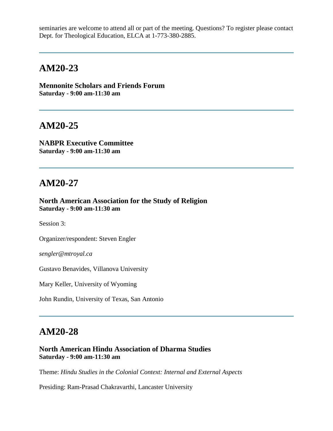seminaries are welcome to attend all or part of the meeting. Questions? To register please contact Dept. for Theological Education, ELCA at 1-773-380-2885.

## **AM20-23**

**Mennonite Scholars and Friends Forum Saturday - 9:00 am-11:30 am**

### **AM20-25**

**NABPR Executive Committee Saturday - 9:00 am-11:30 am**

### **AM20-27**

**North American Association for the Study of Religion Saturday - 9:00 am-11:30 am**

Session 3:

Organizer/respondent: Steven Engler

*sengler@mtroyal.ca*

Gustavo Benavides, Villanova University

Mary Keller, University of Wyoming

John Rundin, University of Texas, San Antonio

### **AM20-28**

**North American Hindu Association of Dharma Studies Saturday - 9:00 am-11:30 am**

Theme: *Hindu Studies in the Colonial Context: Internal and External Aspects*

Presiding: Ram-Prasad Chakravarthi, Lancaster University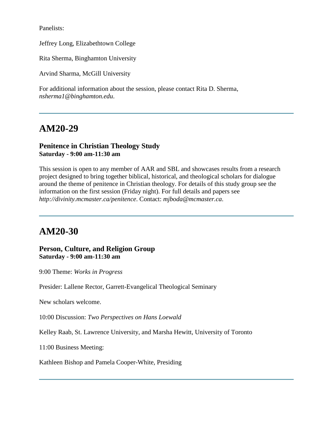Panelists:

Jeffrey Long, Elizabethtown College

Rita Sherma, Binghamton University

Arvind Sharma, McGill University

For additional information about the session, please contact Rita D. Sherma, *nsherma1@binghamton.edu*.

# **AM20-29**

### **Penitence in Christian Theology Study Saturday - 9:00 am-11:30 am**

This session is open to any member of AAR and SBL and showcases results from a research project designed to bring together biblical, historical, and theological scholars for dialogue around the theme of penitence in Christian theology. For details of this study group see the information on the first session (Friday night). For full details and papers see *http://divinity.mcmaster.ca/penitence*. Contact: *mjboda@mcmaster.ca*.

# **AM20-30**

**Person, Culture, and Religion Group Saturday - 9:00 am-11:30 am**

9:00 Theme: *Works in Progress*

Presider: Lallene Rector, Garrett-Evangelical Theological Seminary

New scholars welcome.

10:00 Discussion: *Two Perspectives on Hans Loewald*

Kelley Raab, St. Lawrence University, and Marsha Hewitt, University of Toronto

11:00 Business Meeting:

Kathleen Bishop and Pamela Cooper-White, Presiding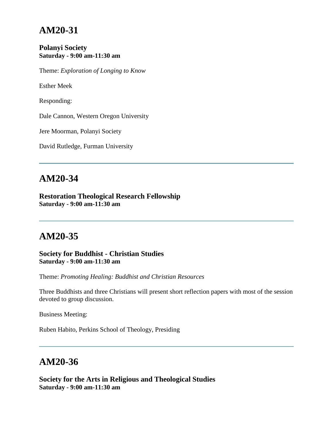# **AM20-31**

### **Polanyi Society Saturday - 9:00 am-11:30 am**

Theme: *Exploration of Longing to Know*

Esther Meek

Responding:

Dale Cannon, Western Oregon University

Jere Moorman, Polanyi Society

David Rutledge, Furman University

## **AM20-34**

**Restoration Theological Research Fellowship Saturday - 9:00 am-11:30 am**

# **AM20-35**

**Society for Buddhist - Christian Studies Saturday - 9:00 am-11:30 am**

Theme: *Promoting Healing: Buddhist and Christian Resources*

Three Buddhists and three Christians will present short reflection papers with most of the session devoted to group discussion.

Business Meeting:

Ruben Habito, Perkins School of Theology, Presiding

## **AM20-36**

**Society for the Arts in Religious and Theological Studies Saturday - 9:00 am-11:30 am**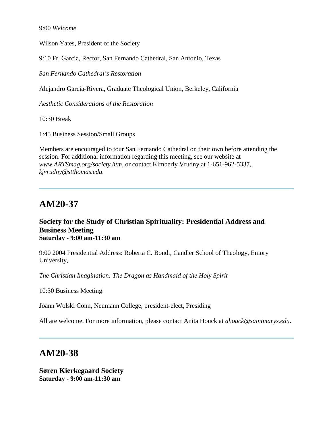Wilson Yates, President of the Society

9:10 Fr. Garcia, Rector, San Fernando Cathedral, San Antonio, Texas

*San Fernando Cathedral's Restoration*

Alejandro Garcia-Rivera, Graduate Theological Union, Berkeley, California

*Aesthetic Considerations of the Restoration*

10:30 Break

1:45 Business Session/Small Groups

Members are encouraged to tour San Fernando Cathedral on their own before attending the session. For additional information regarding this meeting, see our website at *www.ARTSmag.org/society.htm*, or contact Kimberly Vrudny at 1-651-962-5337, *kjvrudny@stthomas.edu*.

## **AM20-37**

### **Society for the Study of Christian Spirituality: Presidential Address and Business Meeting Saturday - 9:00 am-11:30 am**

9:00 2004 Presidential Address: Roberta C. Bondi, Candler School of Theology, Emory University,

*The Christian Imagination: The Dragon as Handmaid of the Holy Spirit*

10:30 Business Meeting:

Joann Wolski Conn, Neumann College, president-elect, Presiding

All are welcome. For more information, please contact Anita Houck at *ahouck@saintmarys.edu*.

# **AM20-38**

**Søren Kierkegaard Society Saturday - 9:00 am-11:30 am**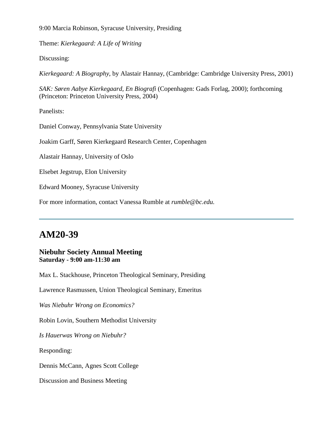9:00 Marcia Robinson, Syracuse University, Presiding

Theme: *Kierkegaard: A Life of Writing*

Discussing:

*Kierkegaard: A Biography*, by Alastair Hannay, (Cambridge: Cambridge University Press, 2001)

*SAK: Søren Aabye Kierkegaard, En Biografi* (Copenhagen: Gads Forlag, 2000); forthcoming (Princeton: Princeton University Press, 2004)

Panelists:

Daniel Conway, Pennsylvania State University

Joakim Garff, Søren Kierkegaard Research Center, Copenhagen

Alastair Hannay, University of Oslo

Elsebet Jegstrup, Elon University

Edward Mooney, Syracuse University

For more information, contact Vanessa Rumble at *rumble@bc.edu.*

# **AM20-39**

### **Niebuhr Society Annual Meeting Saturday - 9:00 am-11:30 am**

Max L. Stackhouse, Princeton Theological Seminary, Presiding

Lawrence Rasmussen, Union Theological Seminary, Emeritus

*Was Niebuhr Wrong on Economics?*

Robin Lovin, Southern Methodist University

*Is Hauerwas Wrong on Niebuhr?*

Responding:

Dennis McCann, Agnes Scott College

Discussion and Business Meeting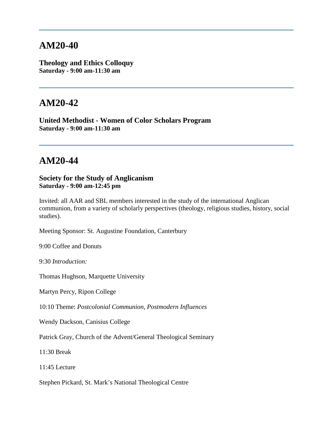## **AM20-40**

**Theology and Ethics Colloquy Saturday - 9:00 am-11:30 am**

### **AM20-42**

**United Methodist - Women of Color Scholars Program Saturday - 9:00 am-11:30 am**

## **AM20-44**

**Society for the Study of Anglicanism Saturday - 9:00 am-12:45 pm**

Invited: all AAR and SBL members interested in the study of the international Anglican communion, from a variety of scholarly perspectives (theology, religious studies, history, social studies).

Meeting Sponsor: St. Augustine Foundation, Canterbury

9:00 Coffee and Donuts

9:30 *Introduction:*

Thomas Hughson, Marquette University

Martyn Percy, Ripon College

10:10 Theme: *Postcolonial Communion, Postmodern Influences*

Wendy Dackson, Canisius College

Patrick Gray, Church of the Advent/General Theological Seminary

11:30 Break

11:45 Lecture

Stephen Pickard, St. Mark's National Theological Centre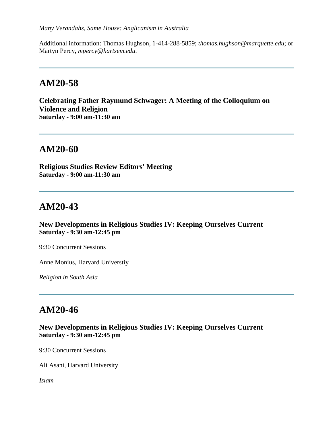Additional information: Thomas Hughson, 1-414-288-5859; *thomas.hughson@marquette.edu*; or Martyn Percy, *mpercy@hartsem.edu*.

#### **AM20-58**

**Celebrating Father Raymund Schwager: A Meeting of the Colloquium on Violence and Religion Saturday - 9:00 am-11:30 am**

#### **AM20-60**

**Religious Studies Review Editors' Meeting Saturday - 9:00 am-11:30 am**

# **AM20-43**

**New Developments in Religious Studies IV: Keeping Ourselves Current Saturday - 9:30 am-12:45 pm**

9:30 Concurrent Sessions

Anne Monius, Harvard Universtiy

*Religion in South Asia*

### **AM20-46**

#### **New Developments in Religious Studies IV: Keeping Ourselves Current Saturday - 9:30 am-12:45 pm**

9:30 Concurrent Sessions

Ali Asani, Harvard University

*Islam*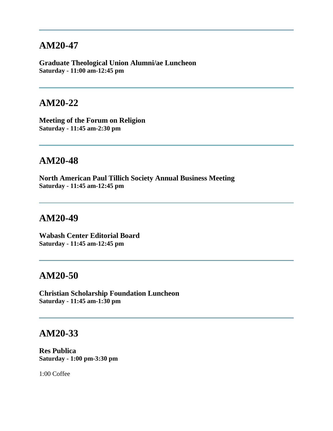#### **AM20-47**

**Graduate Theological Union Alumni/ae Luncheon Saturday - 11:00 am-12:45 pm**

#### **AM20-22**

**Meeting of the Forum on Religion Saturday - 11:45 am-2:30 pm**

### **AM20-48**

**North American Paul Tillich Society Annual Business Meeting Saturday - 11:45 am-12:45 pm**

#### **AM20-49**

**Wabash Center Editorial Board Saturday - 11:45 am-12:45 pm**

#### **AM20-50**

**Christian Scholarship Foundation Luncheon Saturday - 11:45 am-1:30 pm**

#### **AM20-33**

**Res Publica Saturday - 1:00 pm-3:30 pm**

1:00 Coffee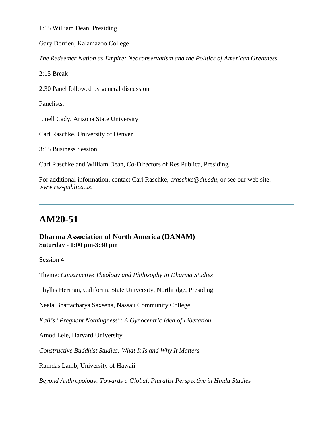1:15 William Dean, Presiding

Gary Dorrien, Kalamazoo College

*The Redeemer Nation as Empire: Neoconservatism and the Politics of American Greatness*

2:15 Break

2:30 Panel followed by general discussion

Panelists:

Linell Cady, Arizona State University

Carl Raschke, University of Denver

3:15 Business Session

Carl Raschke and William Dean, Co-Directors of Res Publica, Presiding

For additional information, contact Carl Raschke, *craschke@du.edu,* or see our web site: *www.res-publica.us*.

# **AM20-51**

#### **Dharma Association of North America (DANAM) Saturday - 1:00 pm-3:30 pm**

Session 4

Theme: *Constructive Theology and Philosophy in Dharma Studies*

Phyllis Herman, California State University, Northridge, Presiding

Neela Bhattacharya Saxsena, Nassau Community College

*Kali's "Pregnant Nothingness": A Gynocentric Idea of Liberation*

Amod Lele, Harvard University

*Constructive Buddhist Studies: What It Is and Why It Matters*

Ramdas Lamb, University of Hawaii

*Beyond Anthropology: Towards a Global, Pluralist Perspective in Hindu Studies*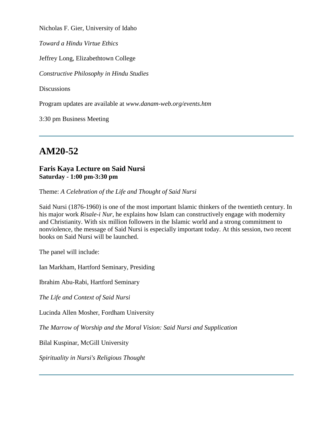Nicholas F. Gier, University of Idaho

*Toward a Hindu Virtue Ethics*

Jeffrey Long, Elizabethtown College

*Constructive Philosophy in Hindu Studies*

**Discussions** 

Program updates are available at *www.danam-web.org/events.htm*

3:30 pm Business Meeting

# **AM20-52**

#### **Faris Kaya Lecture on Said Nursi Saturday - 1:00 pm-3:30 pm**

Theme: *A Celebration of the Life and Thought of Said Nursi*

Said Nursi (1876-1960) is one of the most important Islamic thinkers of the twentieth century. In his major work *Risale-i Nur*, he explains how Islam can constructively engage with modernity and Christianity. With six million followers in the Islamic world and a strong commitment to nonviolence, the message of Said Nursi is especially important today. At this session, two recent books on Said Nursi will be launched.

The panel will include:

Ian Markham, Hartford Seminary, Presiding

Ibrahim Abu-Rabi, Hartford Seminary

*The Life and Context of Said Nursi*

Lucinda Allen Mosher, Fordham University

*The Marrow of Worship and the Moral Vision: Said Nursi and Supplication*

Bilal Kuspinar, McGill University

*Spirituality in Nursi's Religious Thought*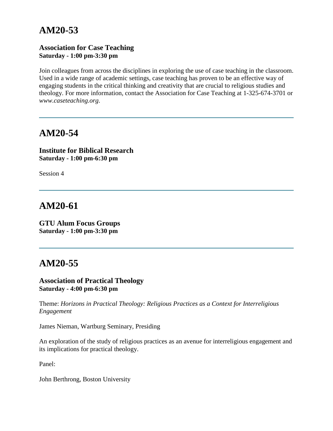# **AM20-53**

#### **Association for Case Teaching Saturday - 1:00 pm-3:30 pm**

Join colleagues from across the disciplines in exploring the use of case teaching in the classroom. Used in a wide range of academic settings, case teaching has proven to be an effective way of engaging students in the critical thinking and creativity that are crucial to religious studies and theology. For more information, contact the Association for Case Teaching at 1-325-674-3701 or *www.caseteaching.org*.

# **AM20-54**

**Institute for Biblical Research Saturday - 1:00 pm-6:30 pm**

Session 4

# **AM20-61**

**GTU Alum Focus Groups Saturday - 1:00 pm-3:30 pm**

### **AM20-55**

#### **Association of Practical Theology Saturday - 4:00 pm-6:30 pm**

Theme: *Horizons in Practical Theology: Religious Practices as a Context for Interreligious Engagement*

James Nieman, Wartburg Seminary, Presiding

An exploration of the study of religious practices as an avenue for interreligious engagement and its implications for practical theology.

Panel:

John Berthrong, Boston University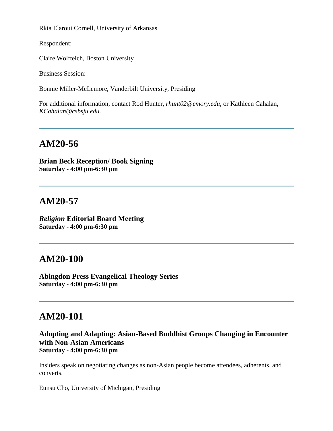Rkia Elaroui Cornell, University of Arkansas

Respondent:

Claire Wolfteich, Boston University

Business Session:

Bonnie Miller-McLemore, Vanderbilt University, Presiding

For additional information, contact Rod Hunter, *rhunt02@emory.edu*, or Kathleen Cahalan, *KCahalan@csbsju.edu*.

# **AM20-56**

**Brian Beck Reception/ Book Signing Saturday - 4:00 pm-6:30 pm**

# **AM20-57**

*Religion* **Editorial Board Meeting Saturday - 4:00 pm-6:30 pm**

# **AM20-100**

**Abingdon Press Evangelical Theology Series Saturday - 4:00 pm-6:30 pm**

# **AM20-101**

#### **Adopting and Adapting: Asian-Based Buddhist Groups Changing in Encounter with Non-Asian Americans Saturday - 4:00 pm-6:30 pm**

Insiders speak on negotiating changes as non-Asian people become attendees, adherents, and converts.

Eunsu Cho, University of Michigan, Presiding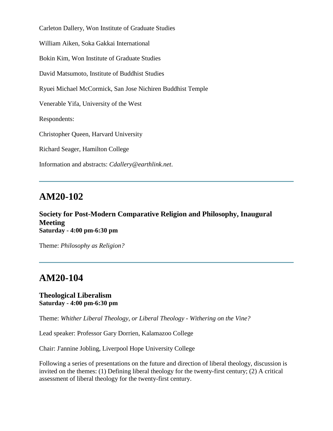Carleton Dallery, Won Institute of Graduate Studies William Aiken, Soka Gakkai International Bokin Kim, Won Institute of Graduate Studies David Matsumoto, Institute of Buddhist Studies Ryuei Michael McCormick, San Jose Nichiren Buddhist Temple Venerable Yifa, University of the West Respondents: Christopher Queen, Harvard University Richard Seager, Hamilton College Information and abstracts: *Cdallery@earthlink.net*.

### **AM20-102**

**Society for Post-Modern Comparative Religion and Philosophy, Inaugural Meeting Saturday - 4:00 pm-6:30 pm**

Theme: *Philosophy as Religion?*

# **AM20-104**

#### **Theological Liberalism Saturday - 4:00 pm-6:30 pm**

Theme: *Whither Liberal Theology, or Liberal Theology - Withering on the Vine?*

Lead speaker: Professor Gary Dorrien, Kalamazoo College

Chair: J'annine Jobling, Liverpool Hope University College

Following a series of presentations on the future and direction of liberal theology, discussion is invited on the themes: (1) Defining liberal theology for the twenty-first century; (2) A critical assessment of liberal theology for the twenty-first century.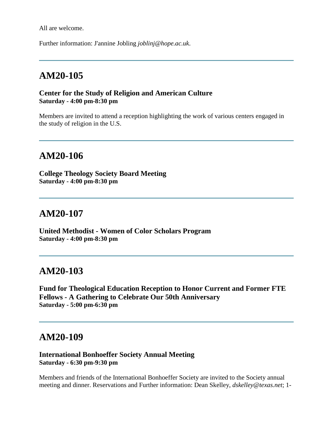All are welcome.

Further information: J'annine Jobling *joblinj@hope.ac.uk*.

#### **AM20-105**

#### **Center for the Study of Religion and American Culture Saturday - 4:00 pm-8:30 pm**

Members are invited to attend a reception highlighting the work of various centers engaged in the study of religion in the U.S.

#### **AM20-106**

**College Theology Society Board Meeting Saturday - 4:00 pm-8:30 pm**

#### **AM20-107**

**United Methodist - Women of Color Scholars Program Saturday - 4:00 pm-8:30 pm**

#### **AM20-103**

**Fund for Theological Education Reception to Honor Current and Former FTE Fellows - A Gathering to Celebrate Our 50th Anniversary Saturday - 5:00 pm-6:30 pm**

#### **AM20-109**

#### **International Bonhoeffer Society Annual Meeting Saturday - 6:30 pm-9:30 pm**

Members and friends of the International Bonhoeffer Society are invited to the Society annual meeting and dinner. Reservations and Further information: Dean Skelley, *dskelley@texas.net*; 1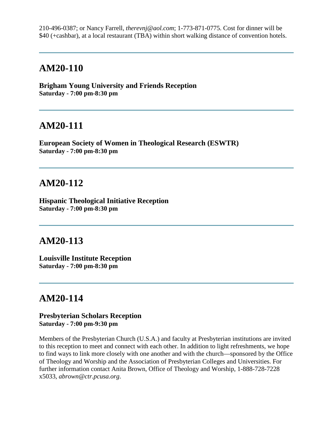210-496-0387; or Nancy Farrell, *therevnj@aol.com*; 1-773-871-0775. Cost for dinner will be \$40 (+cashbar), at a local restaurant (TBA) within short walking distance of convention hotels.

#### **AM20-110**

**Brigham Young University and Friends Reception Saturday - 7:00 pm-8:30 pm**

#### **AM20-111**

**European Society of Women in Theological Research (ESWTR) Saturday - 7:00 pm-8:30 pm**

#### **AM20-112**

**Hispanic Theological Initiative Reception Saturday - 7:00 pm-8:30 pm**

### **AM20-113**

**Louisville Institute Reception Saturday - 7:00 pm-8:30 pm**

# **AM20-114**

#### **Presbyterian Scholars Reception Saturday - 7:00 pm-9:30 pm**

Members of the Presbyterian Church (U.S.A.) and faculty at Presbyterian institutions are invited to this reception to meet and connect with each other. In addition to light refreshments, we hope to find ways to link more closely with one another and with the church—sponsored by the Office of Theology and Worship and the Association of Presbyterian Colleges and Universities. For further information contact Anita Brown, Office of Theology and Worship, 1-888-728-7228 x5033, *abrown@ctr.pcusa.org*.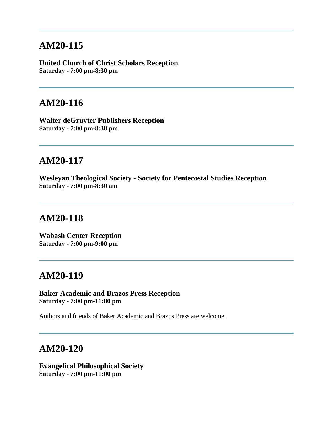#### **AM20-115**

**United Church of Christ Scholars Reception Saturday - 7:00 pm-8:30 pm**

#### **AM20-116**

**Walter deGruyter Publishers Reception Saturday - 7:00 pm-8:30 pm**

# **AM20-117**

**Wesleyan Theological Society - Society for Pentecostal Studies Reception Saturday - 7:00 pm-8:30 am**

# **AM20-118**

**Wabash Center Reception Saturday - 7:00 pm-9:00 pm**

### **AM20-119**

**Baker Academic and Brazos Press Reception Saturday - 7:00 pm-11:00 pm**

Authors and friends of Baker Academic and Brazos Press are welcome.

# **AM20-120**

**Evangelical Philosophical Society Saturday - 7:00 pm-11:00 pm**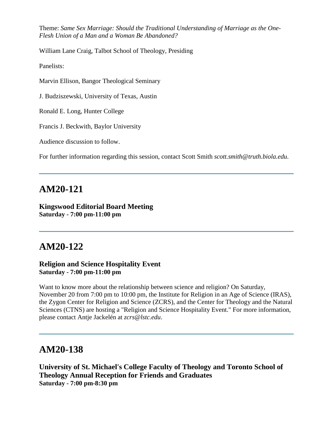Theme: *Same Sex Marriage: Should the Traditional Understanding of Marriage as the One-Flesh Union of a Man and a Woman Be Abandoned?*

William Lane Craig, Talbot School of Theology, Presiding

Panelists:

Marvin Ellison, Bangor Theological Seminary

J. Budziszewski, University of Texas, Austin

Ronald E. Long, Hunter College

Francis J. Beckwith, Baylor University

Audience discussion to follow.

For further information regarding this session, contact Scott Smith *scott.smith@truth.biola.edu*.

#### **AM20-121**

#### **Kingswood Editorial Board Meeting Saturday - 7:00 pm-11:00 pm**

### **AM20-122**

#### **Religion and Science Hospitality Event Saturday - 7:00 pm-11:00 pm**

Want to know more about the relationship between science and religion? On Saturday, November 20 from 7:00 pm to 10:00 pm, the Institute for Religion in an Age of Science (IRAS), the Zygon Center for Religion and Science (ZCRS), and the Center for Theology and the Natural Sciences (CTNS) are hosting a "Religion and Science Hospitality Event." For more information, please contact Antje Jackelén at *zcrs@lstc.edu*.

### **AM20-138**

**University of St. Michael's College Faculty of Theology and Toronto School of Theology Annual Reception for Friends and Graduates Saturday - 7:00 pm-8:30 pm**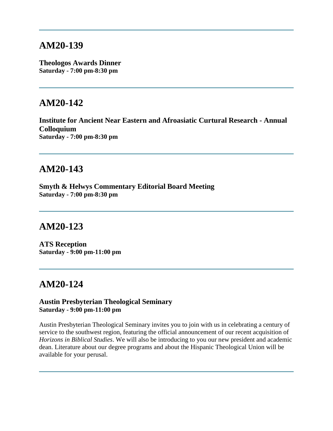#### **AM20-139**

**Theologos Awards Dinner Saturday - 7:00 pm-8:30 pm**

#### **AM20-142**

**Institute for Ancient Near Eastern and Afroasiatic Curtural Research - Annual Colloquium Saturday - 7:00 pm-8:30 pm**

## **AM20-143**

**Smyth & Helwys Commentary Editorial Board Meeting Saturday - 7:00 pm-8:30 pm**

# **AM20-123**

**ATS Reception Saturday - 9:00 pm-11:00 pm**

### **AM20-124**

#### **Austin Presbyterian Theological Seminary Saturday - 9:00 pm-11:00 pm**

Austin Presbyterian Theological Seminary invites you to join with us in celebrating a century of service to the southwest region, featuring the official announcement of our recent acquisition of *Horizons in Biblical Studies*. We will also be introducing to you our new president and academic dean. Literature about our degree programs and about the Hispanic Theological Union will be available for your perusal.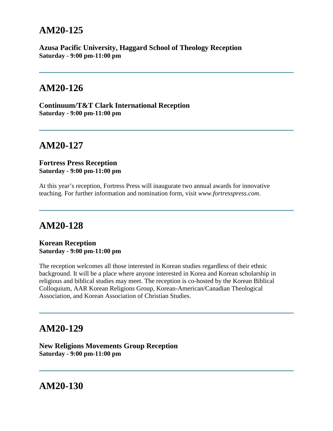### **AM20-125**

**Azusa Pacific University, Haggard School of Theology Reception Saturday - 9:00 pm-11:00 pm**

#### **AM20-126**

**Continuum/T&T Clark International Reception Saturday - 9:00 pm-11:00 pm**

# **AM20-127**

**Fortress Press Reception Saturday - 9:00 pm-11:00 pm**

At this year's reception, Fortress Press will inaugurate two annual awards for innovative teaching. For further information and nomination form, visit *www.fortresspress.com*.

### **AM20-128**

**Korean Reception Saturday - 9:00 pm-11:00 pm**

The reception welcomes all those interested in Korean studies regardless of their ethnic background. It will be a place where anyone interested in Korea and Korean scholarship in religious and biblical studies may meet. The reception is co-hosted by the Korean Biblical Colloquium, AAR Korean Religions Group, Korean-American/Canadian Theological Association, and Korean Association of Christian Studies.

#### **AM20-129**

**New Religions Movements Group Reception Saturday - 9:00 pm-11:00 pm**

**AM20-130**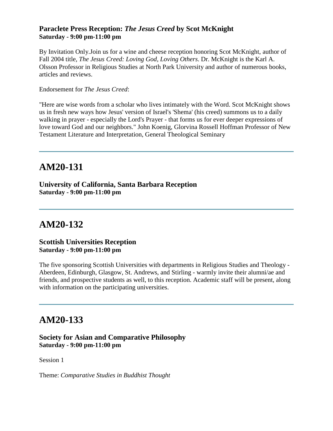#### **Paraclete Press Reception:** *The Jesus Creed* **by Scot McKnight Saturday - 9:00 pm-11:00 pm**

By Invitation Only.Join us for a wine and cheese reception honoring Scot McKnight, author of Fall 2004 title, *The Jesus Creed: Loving God, Loving Others*. Dr. McKnight is the Karl A. Olsson Professor in Religious Studies at North Park University and author of numerous books, articles and reviews.

Endorsement for *The Jesus Creed*:

"Here are wise words from a scholar who lives intimately with the Word. Scot McKnight shows us in fresh new ways how Jesus' version of Israel's 'Shema' (his creed) summons us to a daily walking in prayer - especially the Lord's Prayer - that forms us for ever deeper expressions of love toward God and our neighbors." John Koenig, Glorvina Rossell Hoffman Professor of New Testament Literature and Interpretation, General Theological Seminary

# **AM20-131**

**University of California, Santa Barbara Reception Saturday - 9:00 pm-11:00 pm**

# **AM20-132**

#### **Scottish Universities Reception Saturday - 9:00 pm-11:00 pm**

The five sponsoring Scottish Universities with departments in Religious Studies and Theology - Aberdeen, Edinburgh, Glasgow, St. Andrews, and Stirling - warmly invite their alumni/ae and friends, and prospective students as well, to this reception. Academic staff will be present, along with information on the participating universities.

# **AM20-133**

#### **Society for Asian and Comparative Philosophy Saturday - 9:00 pm-11:00 pm**

Session 1

Theme: *Comparative Studies in Buddhist Thought*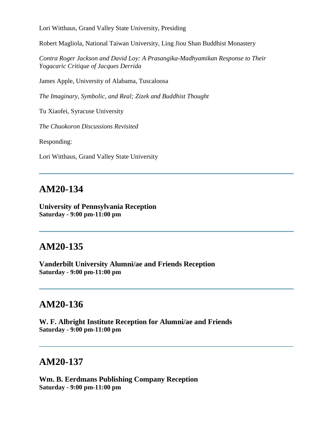Lori Witthaus, Grand Valley State University, Presiding

Robert Magliola, National Taiwan University, Ling Jiou Shan Buddhist Monastery

*Contra Roger Jackson and David Loy: A Prasangika-Madhyamikan Response to Their Yogacaric Critique of Jacques Derrida*

James Apple, University of Alabama, Tuscaloosa

*The Imaginary, Symbolic, and Real; Zizek and Buddhist Thought*

Tu Xiaofei, Syracuse University

*The Chuokoron Discussions Revisited*

Responding:

Lori Witthaus, Grand Valley State University

#### **AM20-134**

**University of Pennsylvania Reception Saturday - 9:00 pm-11:00 pm**

### **AM20-135**

**Vanderbilt University Alumni/ae and Friends Reception Saturday - 9:00 pm-11:00 pm**

#### **AM20-136**

**W. F. Albright Institute Reception for Alumni/ae and Friends Saturday - 9:00 pm-11:00 pm**

#### **AM20-137**

**Wm. B. Eerdmans Publishing Company Reception Saturday - 9:00 pm-11:00 pm**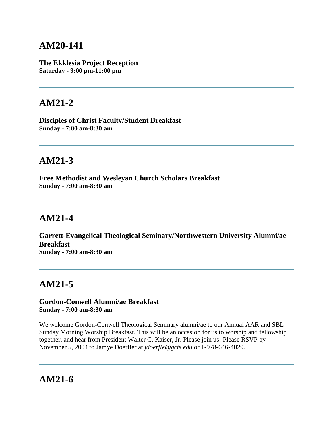# **AM20-141**

**The Ekklesia Project Reception Saturday - 9:00 pm-11:00 pm**

# **AM21-2**

**Disciples of Christ Faculty/Student Breakfast Sunday - 7:00 am-8:30 am**

# **AM21-3**

**Free Methodist and Wesleyan Church Scholars Breakfast Sunday - 7:00 am-8:30 am**

# **AM21-4**

**Garrett-Evangelical Theological Seminary/Northwestern University Alumni/ae Breakfast Sunday - 7:00 am-8:30 am**

# **AM21-5**

#### **Gordon-Conwell Alumni/ae Breakfast Sunday - 7:00 am-8:30 am**

We welcome Gordon-Conwell Theological Seminary alumni/ae to our Annual AAR and SBL Sunday Morning Worship Breakfast. This will be an occasion for us to worship and fellowship together, and hear from President Walter C. Kaiser, Jr. Please join us! Please RSVP by November 5, 2004 to Jamye Doerfler at *jdoerfle@gcts.edu* or 1-978-646-4029.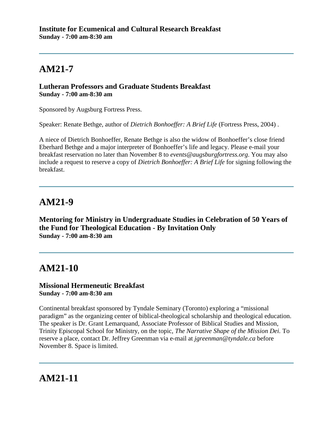#### **Lutheran Professors and Graduate Students Breakfast Sunday - 7:00 am-8:30 am**

Sponsored by Augsburg Fortress Press.

Speaker: Renate Bethge, author of *Dietrich Bonhoeffer: A Brief Life* (Fortress Press, 2004) .

A niece of Dietrich Bonhoeffer, Renate Bethge is also the widow of Bonhoeffer's close friend Eberhard Bethge and a major interpreter of Bonhoeffer's life and legacy. Please e-mail your breakfast reservation no later than November 8 to *events@augsburgfortress.org*. You may also include a request to reserve a copy of *Dietrich Bonhoeffer: A Brief Life* for signing following the breakfast.

# **AM21-9**

**Mentoring for Ministry in Undergraduate Studies in Celebration of 50 Years of the Fund for Theological Education - By Invitation Only Sunday - 7:00 am-8:30 am**

# **AM21-10**

#### **Missional Hermeneutic Breakfast Sunday - 7:00 am-8:30 am**

Continental breakfast sponsored by Tyndale Seminary (Toronto) exploring a "missional paradigm" as the organizing center of biblical-theological scholarship and theological education. The speaker is Dr. Grant Lemarquand, Associate Professor of Biblical Studies and Mission, Trinity Episcopal School for Ministry, on the topic, *The Narrative Shape of the Mission Dei.* To reserve a place, contact Dr. Jeffrey Greenman via e-mail at *jgreenman@tyndale.ca* before November 8. Space is limited.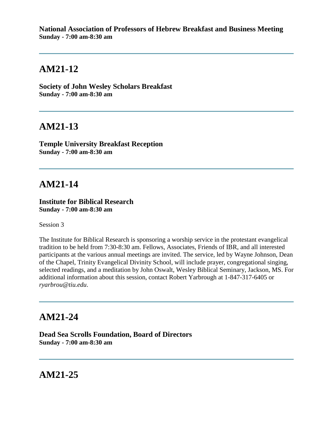**National Association of Professors of Hebrew Breakfast and Business Meeting Sunday - 7:00 am-8:30 am**

#### **AM21-12**

**Society of John Wesley Scholars Breakfast Sunday - 7:00 am-8:30 am**

#### **AM21-13**

**Temple University Breakfast Reception Sunday - 7:00 am-8:30 am**

#### **AM21-14**

**Institute for Biblical Research Sunday - 7:00 am-8:30 am**

Session 3

The Institute for Biblical Research is sponsoring a worship service in the protestant evangelical tradition to be held from 7:30-8:30 am. Fellows, Associates, Friends of IBR, and all interested participants at the various annual meetings are invited. The service, led by Wayne Johnson, Dean of the Chapel, Trinity Evangelical Divinity School, will include prayer, congregational singing, selected readings, and a meditation by John Oswalt, Wesley Biblical Seminary, Jackson, MS. For additional information about this session, contact Robert Yarbrough at 1-847-317-6405 or *ryarbrou@tiu.edu*.

#### **AM21-24**

**Dead Sea Scrolls Foundation, Board of Directors Sunday - 7:00 am-8:30 am**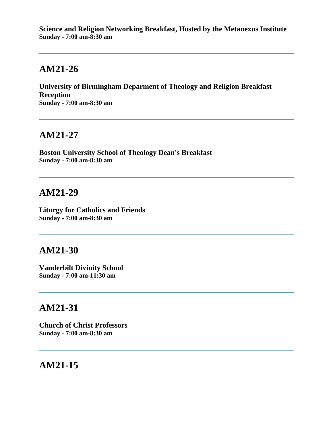**Science and Religion Networking Breakfast, Hosted by the Metanexus Institute Sunday - 7:00 am-8:30 am**

# **AM21-26**

**University of Birmingham Deparment of Theology and Religion Breakfast Reception Sunday - 7:00 am-8:30 am**

#### **AM21-27**

**Boston University School of Theology Dean's Breakfast Sunday - 7:00 am-8:30 am**

#### **AM21-29**

**Liturgy for Catholics and Friends Sunday - 7:00 am-8:30 am**

#### **AM21-30**

**Vanderbilt Divinity School Sunday - 7:00 am-11:30 am**

# **AM21-31**

**Church of Christ Professors Sunday - 7:00 am-8:30 am**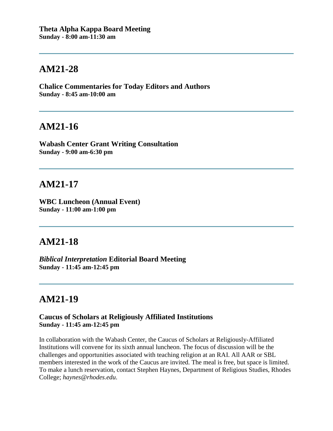**Chalice Commentaries for Today Editors and Authors Sunday - 8:45 am-10:00 am**

#### **AM21-16**

**Wabash Center Grant Writing Consultation Sunday - 9:00 am-6:30 pm**

# **AM21-17**

**WBC Luncheon (Annual Event) Sunday - 11:00 am-1:00 pm**

### **AM21-18**

*Biblical Interpretation* **Editorial Board Meeting Sunday - 11:45 am-12:45 pm**

# **AM21-19**

#### **Caucus of Scholars at Religiously Affiliated Institutions Sunday - 11:45 am-12:45 pm**

In collaboration with the Wabash Center, the Caucus of Scholars at Religiously-Affiliated Institutions will convene for its sixth annual luncheon. The focus of discussion will be the challenges and opportunities associated with teaching religion at an RAI. All AAR or SBL members interested in the work of the Caucus are invited. The meal is free, but space is limited. To make a lunch reservation, contact Stephen Haynes, Department of Religious Studies, Rhodes College; *haynes@rhodes.edu*.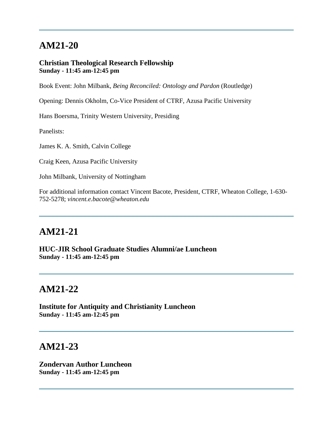#### **Christian Theological Research Fellowship Sunday - 11:45 am-12:45 pm**

Book Event: John Milbank, *Being Reconciled: Ontology and Pardon* (Routledge)

Opening: Dennis Okholm, Co-Vice President of CTRF, Azusa Pacific University

Hans Boersma, Trinity Western University, Presiding

Panelists:

James K. A. Smith, Calvin College

Craig Keen, Azusa Pacific University

John Milbank, University of Nottingham

For additional information contact Vincent Bacote, President, CTRF, Wheaton College, 1-630- 752-5278; *vincent.e.bacote@wheaton.edu*

# **AM21-21**

**HUC-JIR School Graduate Studies Alumni/ae Luncheon Sunday - 11:45 am-12:45 pm**

## **AM21-22**

**Institute for Antiquity and Christianity Luncheon Sunday - 11:45 am-12:45 pm**

#### **AM21-23**

**Zondervan Author Luncheon Sunday - 11:45 am-12:45 pm**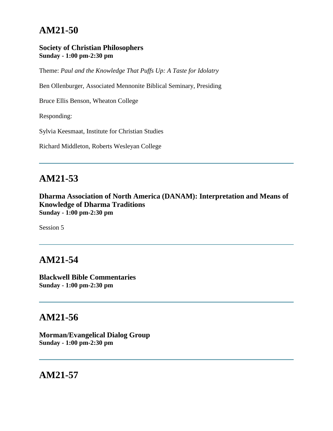#### **Society of Christian Philosophers Sunday - 1:00 pm-2:30 pm**

Theme: *Paul and the Knowledge That Puffs Up: A Taste for Idolatry*

Ben Ollenburger, Associated Mennonite Biblical Seminary, Presiding

Bruce Ellis Benson, Wheaton College

Responding:

Sylvia Keesmaat, Institute for Christian Studies

Richard Middleton, Roberts Wesleyan College

# **AM21-53**

**Dharma Association of North America (DANAM): Interpretation and Means of Knowledge of Dharma Traditions Sunday - 1:00 pm-2:30 pm**

Session 5

# **AM21-54**

**Blackwell Bible Commentaries Sunday - 1:00 pm-2:30 pm**

# **AM21-56**

**Morman/Evangelical Dialog Group Sunday - 1:00 pm-2:30 pm**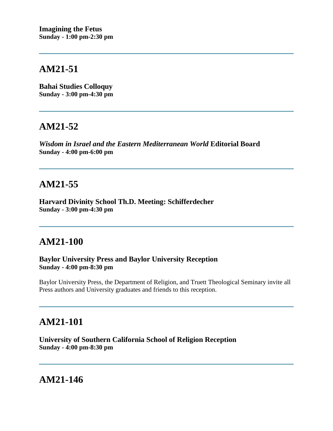**Bahai Studies Colloquy Sunday - 3:00 pm-4:30 pm**

### **AM21-52**

*Wisdom in Israel and the Eastern Mediterranean World* **Editorial Board Sunday - 4:00 pm-6:00 pm**

# **AM21-55**

**Harvard Divinity School Th.D. Meeting: Schifferdecher Sunday - 3:00 pm-4:30 pm**

## **AM21-100**

**Baylor University Press and Baylor University Reception Sunday - 4:00 pm-8:30 pm**

Baylor University Press, the Department of Religion, and Truett Theological Seminary invite all Press authors and University graduates and friends to this reception.

# **AM21-101**

**University of Southern California School of Religion Reception Sunday - 4:00 pm-8:30 pm**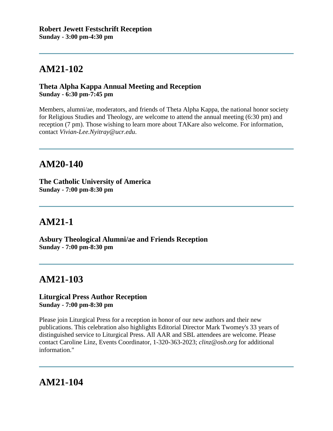#### **Theta Alpha Kappa Annual Meeting and Reception Sunday - 6:30 pm-7:45 pm**

Members, alumni/ae, moderators, and friends of Theta Alpha Kappa, the national honor society for Religious Studies and Theology, are welcome to attend the annual meeting (6:30 pm) and reception (7 pm). Those wishing to learn more about TAKare also welcome. For information, contact *Vivian-Lee.Nyitray@ucr.edu*.

# **AM20-140**

**The Catholic University of America Sunday - 7:00 pm-8:30 pm**

# **AM21-1**

**Asbury Theological Alumni/ae and Friends Reception Sunday - 7:00 pm-8:30 pm**

# **AM21-103**

#### **Liturgical Press Author Reception Sunday - 7:00 pm-8:30 pm**

Please join Liturgical Press for a reception in honor of our new authors and their new publications. This celebration also highlights Editorial Director Mark Twomey's 33 years of distinguished service to Liturgical Press. All AAR and SBL attendees are welcome. Please contact Caroline Linz, Events Coordinator, 1-320-363-2023; *clinz@osb.org* for additional information."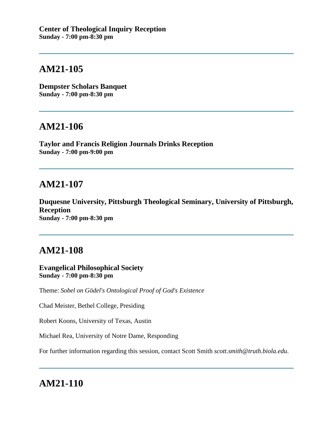**Dempster Scholars Banquet Sunday - 7:00 pm-8:30 pm**

#### **AM21-106**

**Taylor and Francis Religion Journals Drinks Reception Sunday - 7:00 pm-9:00 pm**

# **AM21-107**

**Duquesne University, Pittsburgh Theological Seminary, University of Pittsburgh, Reception Sunday - 7:00 pm-8:30 pm**

# **AM21-108**

**Evangelical Philosophical Society Sunday - 7:00 pm-8:30 pm**

Theme: *Sobel on Gödel's Ontological Proof of God's Existence*

Chad Meister, Bethel College, Presiding

Robert Koons, University of Texas, Austin

Michael Rea, University of Notre Dame, Responding

For further information regarding this session, contact Scott Smith *scott.smith@truth.biola.edu*.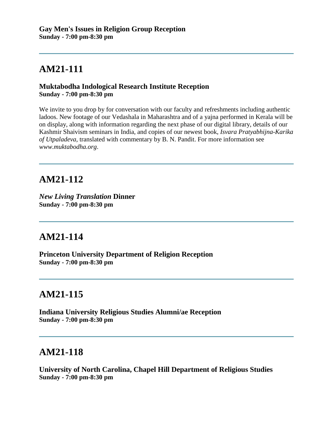#### **Muktabodha Indological Research Institute Reception Sunday - 7:00 pm-8:30 pm**

We invite to you drop by for conversation with our faculty and refreshments including authentic ladoos. New footage of our Vedashala in Maharashtra and of a yajna performed in Kerala will be on display, along with information regarding the next phase of our digital library, details of our Kashmir Shaivism seminars in India, and copies of our newest book, *Isvara Pratyabhijna-Karika of Utpaladeva*, translated with commentary by B. N. Pandit. For more information see *www.muktabodha.org*.

# **AM21-112**

*New Living Translation* **Dinner Sunday - 7:00 pm-8:30 pm**

# **AM21-114**

**Princeton University Department of Religion Reception Sunday - 7:00 pm-8:30 pm**

# **AM21-115**

**Indiana University Religious Studies Alumni/ae Reception Sunday - 7:00 pm-8:30 pm**

# **AM21-118**

**University of North Carolina, Chapel Hill Department of Religious Studies Sunday - 7:00 pm-8:30 pm**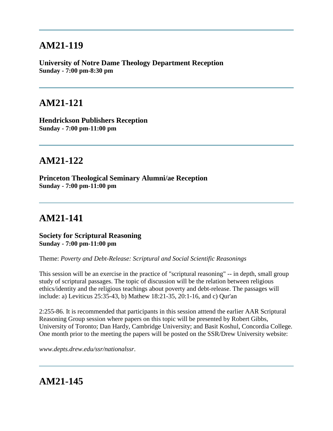**University of Notre Dame Theology Department Reception Sunday - 7:00 pm-8:30 pm**

## **AM21-121**

**Hendrickson Publishers Reception Sunday - 7:00 pm-11:00 pm**

# **AM21-122**

**Princeton Theological Seminary Alumni/ae Reception Sunday - 7:00 pm-11:00 pm**

# **AM21-141**

**Society for Scriptural Reasoning Sunday - 7:00 pm-11:00 pm**

Theme: *Poverty and Debt-Release: Scriptural and Social Scientific Reasonings*

This session will be an exercise in the practice of "scriptural reasoning" -- in depth, small group study of scriptural passages. The topic of discussion will be the relation between religious ethics/identity and the religious teachings about poverty and debt-release. The passages will include: a) Leviticus 25:35-43, b) Mathew 18:21-35, 20:1-16, and c) Qur'an

2:255-86. It is recommended that participants in this session atttend the earlier AAR Scriptural Reasoning Group session where papers on this topic will be presented by Robert Gibbs, University of Toronto; Dan Hardy, Cambridge University; and Basit Koshul, Concordia College. One month prior to the meeting the papers will be posted on the SSR/Drew University website:

*www.depts.drew.edu/ssr/nationalssr*.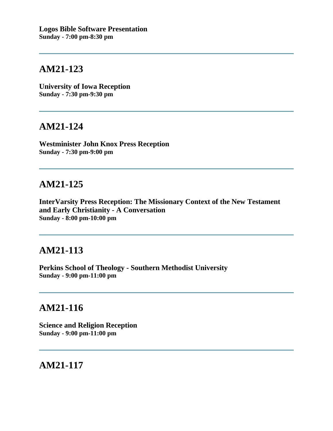**University of Iowa Reception Sunday - 7:30 pm-9:30 pm**

#### **AM21-124**

**Westminister John Knox Press Reception Sunday - 7:30 pm-9:00 pm**

### **AM21-125**

**InterVarsity Press Reception: The Missionary Context of the New Testament and Early Christianity - A Conversation Sunday - 8:00 pm-10:00 pm**

## **AM21-113**

**Perkins School of Theology - Southern Methodist University Sunday - 9:00 pm-11:00 pm**

### **AM21-116**

**Science and Religion Reception Sunday - 9:00 pm-11:00 pm**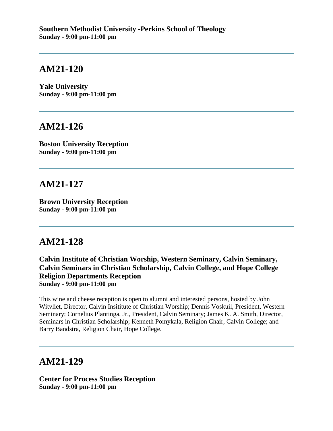**Yale University Sunday - 9:00 pm-11:00 pm**

#### **AM21-126**

**Boston University Reception Sunday - 9:00 pm-11:00 pm**

### **AM21-127**

**Brown University Reception Sunday - 9:00 pm-11:00 pm**

### **AM21-128**

**Calvin Institute of Christian Worship, Western Seminary, Calvin Seminary, Calvin Seminars in Christian Scholarship, Calvin College, and Hope College Religion Departments Reception Sunday - 9:00 pm-11:00 pm**

This wine and cheese reception is open to alumni and interested persons, hosted by John Witvliet, Director, Calvin Insititute of Christian Worship; Dennis Voskuil, President, Western Seminary; Cornelius Plantinga, Jr., President, Calvin Seminary; James K. A. Smith, Director, Seminars in Christian Scholarship; Kenneth Pomykala, Religion Chair, Calvin College; and Barry Bandstra, Religion Chair, Hope College.

# **AM21-129**

**Center for Process Studies Reception Sunday - 9:00 pm-11:00 pm**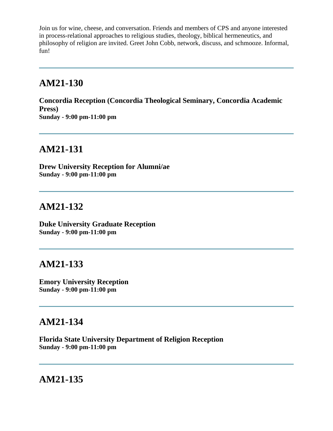Join us for wine, cheese, and conversation. Friends and members of CPS and anyone interested in process-relational approaches to religious studies, theology, biblical hermeneutics, and philosophy of religion are invited. Greet John Cobb, network, discuss, and schmooze. Informal, fun!

#### **AM21-130**

**Concordia Reception (Concordia Theological Seminary, Concordia Academic Press) Sunday - 9:00 pm-11:00 pm**

#### **AM21-131**

**Drew University Reception for Alumni/ae Sunday - 9:00 pm-11:00 pm**

# **AM21-132**

**Duke University Graduate Reception Sunday - 9:00 pm-11:00 pm**

### **AM21-133**

**Emory University Reception Sunday - 9:00 pm-11:00 pm**

# **AM21-134**

**Florida State University Department of Religion Reception Sunday - 9:00 pm-11:00 pm**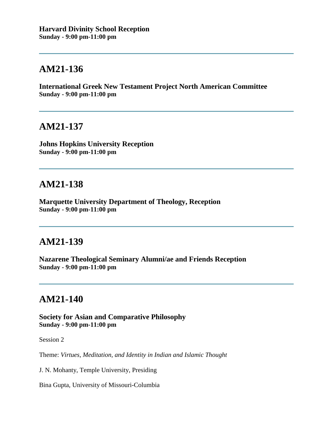**International Greek New Testament Project North American Committee Sunday - 9:00 pm-11:00 pm**

#### **AM21-137**

**Johns Hopkins University Reception Sunday - 9:00 pm-11:00 pm**

# **AM21-138**

**Marquette University Department of Theology, Reception Sunday - 9:00 pm-11:00 pm**

## **AM21-139**

**Nazarene Theological Seminary Alumni/ae and Friends Reception Sunday - 9:00 pm-11:00 pm**

# **AM21-140**

**Society for Asian and Comparative Philosophy Sunday - 9:00 pm-11:00 pm**

Session 2

Theme: *Virtues, Meditation, and Identity in Indian and Islamic Thought*

J. N. Mohanty, Temple University, Presiding

Bina Gupta, University of Missouri-Columbia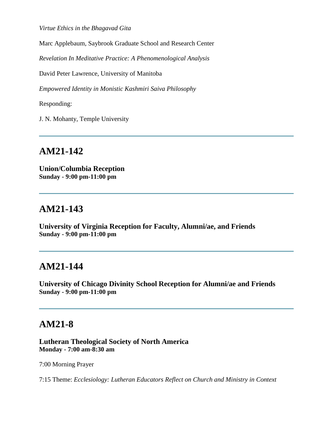*Virtue Ethics in the Bhagavad Gita*

Marc Applebaum, Saybrook Graduate School and Research Center

*Revelation In Meditative Practice: A Phenomenological Analysis*

David Peter Lawrence, University of Manitoba

*Empowered Identity in Monistic Kashmiri Saiva Philosophy*

Responding:

J. N. Mohanty, Temple University

# **AM21-142**

**Union/Columbia Reception Sunday - 9:00 pm-11:00 pm**

#### **AM21-143**

**University of Virginia Reception for Faculty, Alumni/ae, and Friends Sunday - 9:00 pm-11:00 pm**

#### **AM21-144**

**University of Chicago Divinity School Reception for Alumni/ae and Friends Sunday - 9:00 pm-11:00 pm**

#### **AM21-8**

**Lutheran Theological Society of North America Monday - 7:00 am-8:30 am**

7:00 Morning Prayer

7:15 Theme: *Ecclesiology: Lutheran Educators Reflect on Church and Ministry in Context*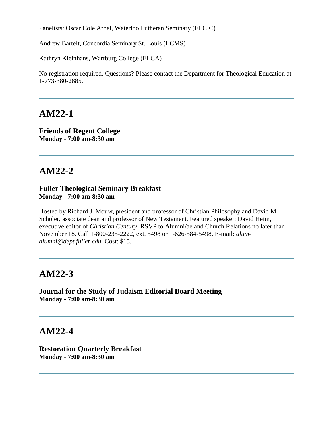Panelists: Oscar Cole Arnal, Waterloo Lutheran Seminary (ELCIC)

Andrew Bartelt, Concordia Seminary St. Louis (LCMS)

Kathryn Kleinhans, Wartburg College (ELCA)

No registration required. Questions? Please contact the Department for Theological Education at 1-773-380-2885.

#### **AM22-1**

**Friends of Regent College Monday - 7:00 am-8:30 am**

#### **AM22-2**

#### **Fuller Theological Seminary Breakfast Monday - 7:00 am-8:30 am**

Hosted by Richard J. Mouw, president and professor of Christian Philosophy and David M. Scholer, associate dean and professor of New Testament. Featured speaker: David Heim, executive editor of *Christian Century*. RSVP to Alumni/ae and Church Relations no later than November 18. Call 1-800-235-2222, ext. 5498 or 1-626-584-5498. E-mail: *alumalumni@dept.fuller.edu*. Cost: \$15.

### **AM22-3**

**Journal for the Study of Judaism Editorial Board Meeting Monday - 7:00 am-8:30 am**

#### **AM22-4**

**Restoration Quarterly Breakfast Monday - 7:00 am-8:30 am**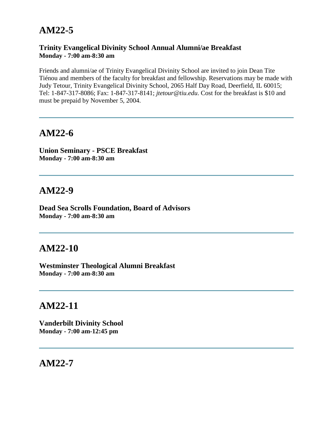# **AM22-5**

#### **Trinity Evangelical Divinity School Annual Alumni/ae Breakfast Monday - 7:00 am-8:30 am**

Friends and alumni/ae of Trinity Evangelical Divinity School are invited to join Dean Tite Tiénou and members of the faculty for breakfast and fellowship. Reservations may be made with Judy Tetour, Trinity Evangelical Divinity School, 2065 Half Day Road, Deerfield, IL 60015; Tel: 1-847-317-8086; Fax: 1-847-317-8141; *jtetour@tiu.edu*. Cost for the breakfast is \$10 and must be prepaid by November 5, 2004.

# **AM22-6**

**Union Seminary - PSCE Breakfast Monday - 7:00 am-8:30 am**

### **AM22-9**

**Dead Sea Scrolls Foundation, Board of Advisors Monday - 7:00 am-8:30 am**

### **AM22-10**

**Westminster Theological Alumni Breakfast Monday - 7:00 am-8:30 am**

### **AM22-11**

**Vanderbilt Divinity School Monday - 7:00 am-12:45 pm**

#### **AM22-7**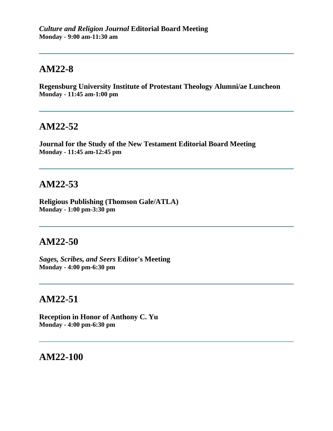# **AM22-8**

**Regensburg University Institute of Protestant Theology Alumni/ae Luncheon Monday - 11:45 am-1:00 pm**

#### **AM22-52**

**Journal for the Study of the New Testament Editorial Board Meeting Monday - 11:45 am-12:45 pm**

#### **AM22-53**

**Religious Publishing (Thomson Gale/ATLA) Monday - 1:00 pm-3:30 pm**

## **AM22-50**

*Sages, Scribes, and Seers* **Editor's Meeting Monday - 4:00 pm-6:30 pm**

# **AM22-51**

**Reception in Honor of Anthony C. Yu Monday - 4:00 pm-6:30 pm**

### **AM22-100**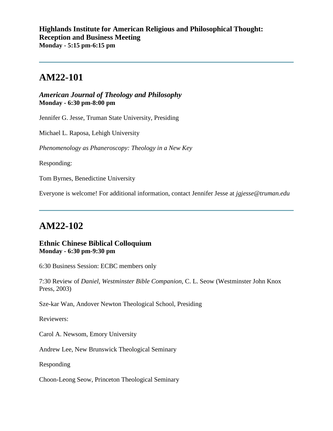# **AM22-101**

*American Journal of Theology and Philosophy* **Monday - 6:30 pm-8:00 pm**

Jennifer G. Jesse, Truman State University, Presiding

Michael L. Raposa, Lehigh University

*Phenomenology as Phaneroscopy: Theology in a New Key*

Responding:

Tom Byrnes, Benedictine University

Everyone is welcome! For additional information, contact Jennifer Jesse at *jgjesse@truman.edu*

### **AM22-102**

#### **Ethnic Chinese Biblical Colloquium Monday - 6:30 pm-9:30 pm**

6:30 Business Session: ECBC members only

7:30 Review of *Daniel, Westminster Bible Companion*, C. L. Seow (Westminster John Knox Press, 2003)

Sze-kar Wan, Andover Newton Theological School, Presiding

Reviewers:

Carol A. Newsom, Emory University

Andrew Lee, New Brunswick Theological Seminary

Responding

Choon-Leong Seow, Princeton Theological Seminary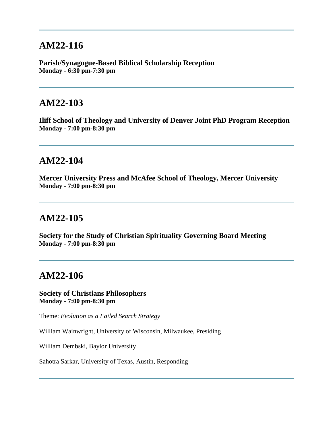## **AM22-116**

**Parish/Synagogue-Based Biblical Scholarship Reception Monday - 6:30 pm-7:30 pm**

### **AM22-103**

**Iliff School of Theology and University of Denver Joint PhD Program Reception Monday - 7:00 pm-8:30 pm**

#### **AM22-104**

**Mercer University Press and McAfee School of Theology, Mercer University Monday - 7:00 pm-8:30 pm**

## **AM22-105**

**Society for the Study of Christian Spirituality Governing Board Meeting Monday - 7:00 pm-8:30 pm**

## **AM22-106**

**Society of Christians Philosophers Monday - 7:00 pm-8:30 pm**

Theme: *Evolution as a Failed Search Strategy*

William Wainwright, University of Wisconsin, Milwaukee, Presiding

William Dembski, Baylor University

Sahotra Sarkar, University of Texas, Austin, Responding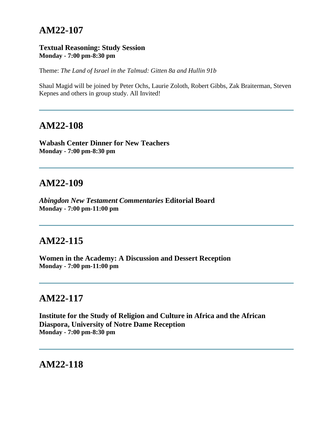## **AM22-107**

#### **Textual Reasoning: Study Session Monday - 7:00 pm-8:30 pm**

Theme: *The Land of Israel in the Talmud: Gitten 8a and Hullin 91b*

Shaul Magid will be joined by Peter Ochs, Laurie Zoloth, Robert Gibbs, Zak Braiterman, Steven Kepnes and others in group study. All Invited!

#### **AM22-108**

**Wabash Center Dinner for New Teachers Monday - 7:00 pm-8:30 pm**

#### **AM22-109**

*Abingdon New Testament Commentaries* **Editorial Board Monday - 7:00 pm-11:00 pm**

## **AM22-115**

**Women in the Academy: A Discussion and Dessert Reception Monday - 7:00 pm-11:00 pm**

## **AM22-117**

**Institute for the Study of Religion and Culture in Africa and the African Diaspora, University of Notre Dame Reception Monday - 7:00 pm-8:30 pm**

**AM22-118**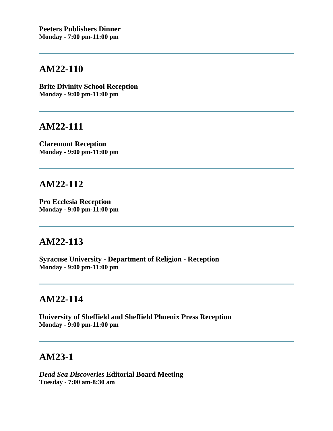## **AM22-110**

**Brite Divinity School Reception Monday - 9:00 pm-11:00 pm**

## **AM22-111**

**Claremont Reception Monday - 9:00 pm-11:00 pm**

# **AM22-112**

**Pro Ecclesia Reception Monday - 9:00 pm-11:00 pm**

## **AM22-113**

**Syracuse University - Department of Religion - Reception Monday - 9:00 pm-11:00 pm**

## **AM22-114**

**University of Sheffield and Sheffield Phoenix Press Reception Monday - 9:00 pm-11:00 pm**

## **AM23-1**

*Dead Sea Discoveries* **Editorial Board Meeting Tuesday - 7:00 am-8:30 am**